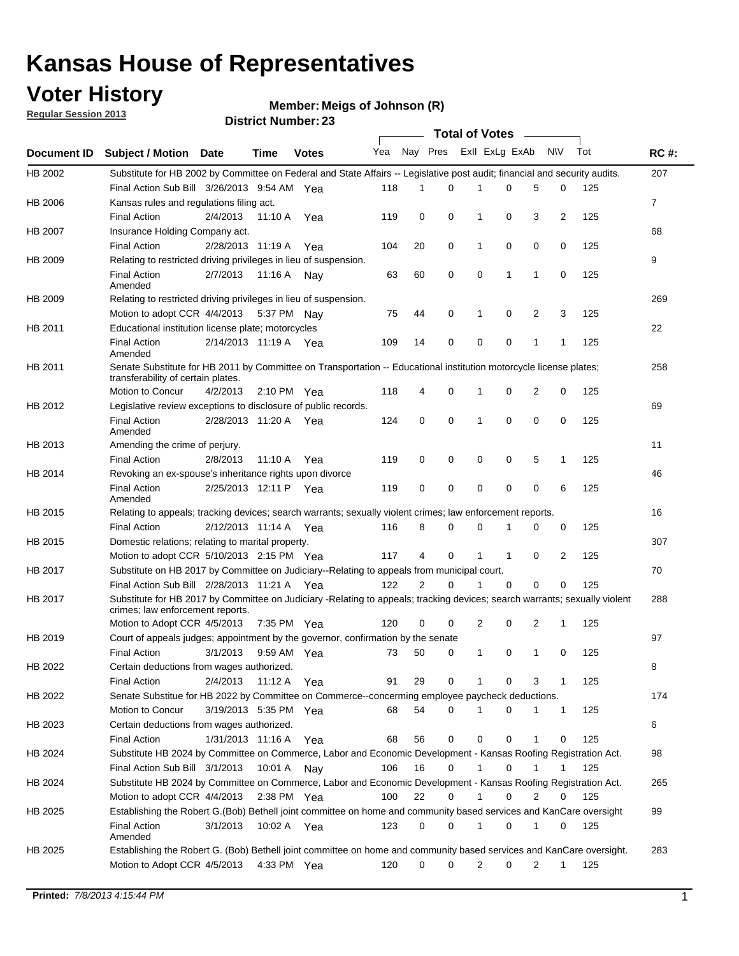## **Voter History**

**Member: Meigs of Johnson (R)** 

**Regular Session 2013**

|                    |                                                                                                                                                                |                       | PISUIVLINUIIIN <del>G</del> I. 40 |              |              |    | Total of Votes __ |                |              |                |                |     |                |
|--------------------|----------------------------------------------------------------------------------------------------------------------------------------------------------------|-----------------------|-----------------------------------|--------------|--------------|----|-------------------|----------------|--------------|----------------|----------------|-----|----------------|
| <b>Document ID</b> | <b>Subject / Motion Date</b>                                                                                                                                   |                       | Time                              | <b>Votes</b> | Yea Nay Pres |    |                   | Exll ExLg ExAb |              |                | <b>NV</b>      | Tot | <b>RC#:</b>    |
| HB 2002            | Substitute for HB 2002 by Committee on Federal and State Affairs -- Legislative post audit; financial and security audits.                                     |                       |                                   |              |              |    |                   |                |              |                |                |     | 207            |
|                    | Final Action Sub Bill 3/26/2013 9:54 AM Yea                                                                                                                    |                       |                                   |              | 118          | 1  | $\Omega$          |                | 0            | 5              | 0              | 125 |                |
| HB 2006            | Kansas rules and regulations filing act.                                                                                                                       |                       |                                   |              |              |    |                   |                |              |                |                |     | $\overline{7}$ |
|                    | <b>Final Action</b>                                                                                                                                            | 2/4/2013              | 11:10 A Yea                       |              | 119          | 0  | 0                 | 1              | 0            | 3              | $\overline{2}$ | 125 |                |
| HB 2007            | Insurance Holding Company act.                                                                                                                                 |                       |                                   |              |              |    |                   |                |              |                |                |     | 68             |
|                    | <b>Final Action</b>                                                                                                                                            | 2/28/2013 11:19 A     |                                   | Yea          | 104          | 20 | 0                 | 1              | 0            | 0              | 0              | 125 |                |
| HB 2009            | Relating to restricted driving privileges in lieu of suspension.                                                                                               |                       |                                   |              |              |    |                   |                |              |                |                |     | 9              |
|                    | <b>Final Action</b><br>Amended                                                                                                                                 | 2/7/2013              | 11:16 A Nay                       |              | 63           | 60 | 0                 | 0              | 1            | 1              | 0              | 125 |                |
| HB 2009            | Relating to restricted driving privileges in lieu of suspension.                                                                                               |                       |                                   |              |              |    |                   |                |              |                |                |     | 269            |
|                    | Motion to adopt CCR 4/4/2013                                                                                                                                   |                       | 5:37 PM Nay                       |              | 75           | 44 | 0                 | 1              | 0            | 2              | 3              | 125 |                |
| HB 2011            | Educational institution license plate; motorcycles                                                                                                             |                       |                                   |              |              |    |                   |                |              |                |                |     | 22             |
|                    | <b>Final Action</b><br>Amended                                                                                                                                 | 2/14/2013 11:19 A Yea |                                   |              | 109          | 14 | 0                 | 0              | 0            | 1              | 1              | 125 |                |
| HB 2011            | Senate Substitute for HB 2011 by Committee on Transportation -- Educational institution motorcycle license plates;<br>transferability of certain plates.       |                       |                                   |              |              |    |                   |                |              |                |                |     | 258            |
|                    | Motion to Concur                                                                                                                                               | 4/2/2013              | $2:10 \text{ PM}$ Yea             |              | 118          | 4  | 0                 | $\mathbf 1$    | 0            | $\overline{2}$ | 0              | 125 |                |
| HB 2012            | Legislative review exceptions to disclosure of public records.                                                                                                 |                       |                                   |              |              |    |                   |                |              |                |                |     | 69             |
|                    | <b>Final Action</b><br>Amended                                                                                                                                 | 2/28/2013 11:20 A Yea |                                   |              | 124          | 0  | 0                 | 1              | 0            | 0              | 0              | 125 |                |
| HB 2013            | Amending the crime of perjury.                                                                                                                                 |                       |                                   |              |              |    |                   |                |              |                |                |     | 11             |
|                    | <b>Final Action</b>                                                                                                                                            | 2/8/2013              | 11:10 A                           | Yea          | 119          | 0  | 0                 | 0              | 0            | 5              | 1              | 125 |                |
| HB 2014            | Revoking an ex-spouse's inheritance rights upon divorce                                                                                                        |                       |                                   |              |              |    |                   |                |              |                |                |     | 46             |
|                    | <b>Final Action</b><br>Amended                                                                                                                                 | 2/25/2013 12:11 P     |                                   | Yea          | 119          | 0  | $\mathbf 0$       | 0              | 0            | 0              | 6              | 125 |                |
| HB 2015            | Relating to appeals; tracking devices; search warrants; sexually violent crimes; law enforcement reports.                                                      |                       |                                   |              |              |    |                   |                |              |                |                |     | 16             |
|                    | <b>Final Action</b>                                                                                                                                            | 2/12/2013 11:14 A     |                                   | Yea          | 116          | 8  | 0                 | 0              | 1            | 0              | 0              | 125 |                |
| HB 2015            | Domestic relations; relating to marital property.                                                                                                              |                       |                                   |              |              |    |                   |                |              |                |                |     | 307            |
|                    | Motion to adopt CCR 5/10/2013 2:15 PM Yea                                                                                                                      |                       |                                   |              | 117          | 4  | 0                 | $\mathbf{1}$   | $\mathbf{1}$ | 0              | 2              | 125 |                |
| HB 2017            | Substitute on HB 2017 by Committee on Judiciary--Relating to appeals from municipal court.                                                                     |                       |                                   |              |              |    |                   |                |              |                |                |     | 70             |
|                    | Final Action Sub Bill 2/28/2013 11:21 A Yea                                                                                                                    |                       |                                   |              | 122          | 2  | 0                 | 1              | 0            | 0              | 0              | 125 |                |
| HB 2017            | Substitute for HB 2017 by Committee on Judiciary -Relating to appeals; tracking devices; search warrants; sexually violent<br>crimes; law enforcement reports. |                       |                                   |              |              |    |                   |                |              |                |                |     | 288            |
|                    | Motion to Adopt CCR 4/5/2013                                                                                                                                   |                       | 7:35 PM Yea                       |              | 120          | 0  | 0                 | 2              | 0            | 2              | 1              | 125 |                |
| HB 2019            | Court of appeals judges; appointment by the governor, confirmation by the senate                                                                               |                       |                                   |              |              |    |                   |                |              |                |                |     | 97             |
|                    | Final Action                                                                                                                                                   | 3/1/2013              | 9:59 AM Yea                       |              | 73           | 50 | 0                 | 1              | 0            | 1              | 0              | 125 |                |
| HB 2022            | Certain deductions from wages authorized.                                                                                                                      |                       |                                   |              |              |    |                   |                |              |                |                |     | 8              |
|                    | <b>Final Action</b>                                                                                                                                            | 2/4/2013              | 11:12 A                           | Yea          | 91           | 29 | 0                 |                | 0            | 3              | 1              | 125 |                |
| HB 2022            | Senate Substitue for HB 2022 by Committee on Commerce--concerming employee paycheck deductions.                                                                |                       |                                   |              |              |    |                   |                |              |                |                |     | 174            |
|                    | Motion to Concur                                                                                                                                               | 3/19/2013 5:35 PM Yea |                                   |              | 68           | 54 | 0                 | 1              | 0            | 1              | $\mathbf{1}$   | 125 |                |
| HB 2023            | Certain deductions from wages authorized.                                                                                                                      |                       |                                   |              |              |    |                   |                |              |                |                |     | 6              |
|                    | Final Action                                                                                                                                                   | 1/31/2013 11:16 A     |                                   | Yea          | 68           | 56 | 0                 | 0              | 0            | 1              | 0              | 125 |                |
| HB 2024            | Substitute HB 2024 by Committee on Commerce, Labor and Economic Development - Kansas Roofing Registration Act.                                                 |                       |                                   |              |              |    |                   |                |              |                |                |     | 98             |
|                    | Final Action Sub Bill 3/1/2013                                                                                                                                 |                       | 10:01 A                           | Nav          | 106          | 16 | 0                 | 1              | 0            | 1              | 1              | 125 |                |
| HB 2024            | Substitute HB 2024 by Committee on Commerce, Labor and Economic Development - Kansas Roofing Registration Act.                                                 |                       |                                   |              |              |    |                   |                |              |                |                |     | 265            |
|                    | Motion to adopt CCR 4/4/2013                                                                                                                                   |                       | 2:38 PM Yea                       |              | 100          | 22 | 0                 | 1              | 0            | 2              | 0              | 125 |                |
| HB 2025            | Establishing the Robert G.(Bob) Bethell joint committee on home and community based services and KanCare oversight                                             |                       |                                   |              |              |    |                   |                |              |                |                |     | 99             |
|                    | <b>Final Action</b><br>Amended                                                                                                                                 | 3/1/2013              | 10:02 A Yea                       |              | 123          | 0  | 0                 | $\mathbf{1}$   | 0            | 1              | 0              | 125 |                |
| HB 2025            | Establishing the Robert G. (Bob) Bethell joint committee on home and community based services and KanCare oversight.                                           |                       |                                   |              |              |    |                   |                |              |                |                |     | 283            |
|                    | Motion to Adopt CCR 4/5/2013                                                                                                                                   |                       | 4:33 PM Yea                       |              | 120          | 0  | 0                 | 2              | 0            | 2              | $\mathbf{1}$   | 125 |                |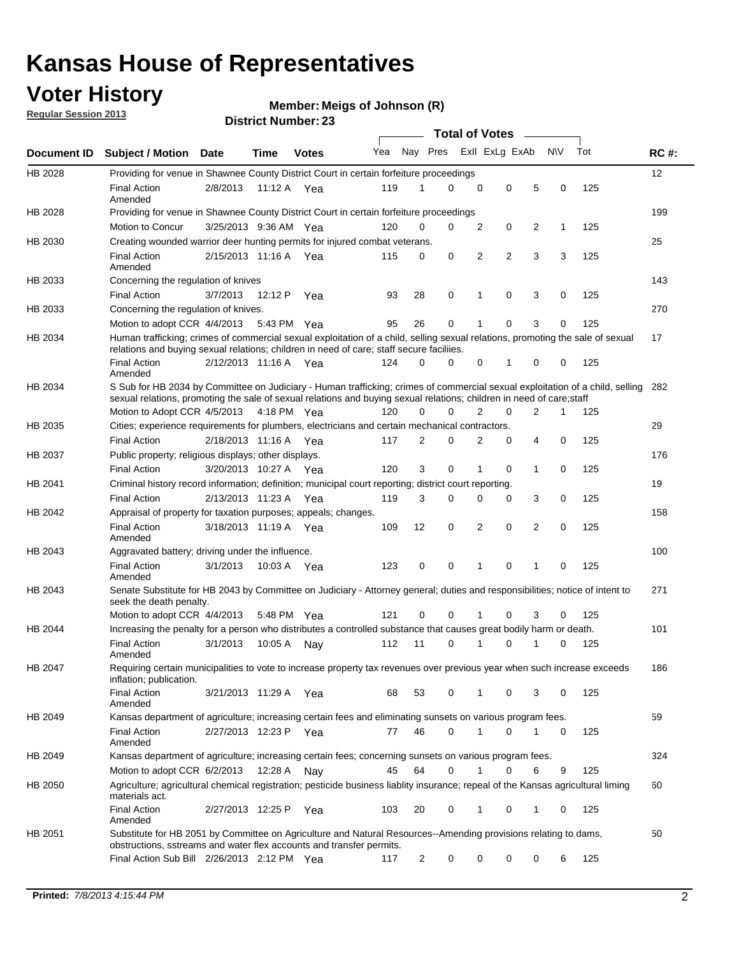## **Voter History**

**Member: Meigs of Johnson (R)** 

**Regular Session 2013**

|                    |                                                                                                                                                                                                                                                       |                       |         |              |     |                         | <b>Total of Votes</b> |                |   |                |           |     |             |
|--------------------|-------------------------------------------------------------------------------------------------------------------------------------------------------------------------------------------------------------------------------------------------------|-----------------------|---------|--------------|-----|-------------------------|-----------------------|----------------|---|----------------|-----------|-----|-------------|
| <b>Document ID</b> | <b>Subject / Motion Date</b>                                                                                                                                                                                                                          |                       | Time    | <b>Votes</b> | Yea | Nay Pres Exll ExLg ExAb |                       |                |   |                | <b>NV</b> | Tot | <b>RC#:</b> |
| HB 2028            | Providing for venue in Shawnee County District Court in certain forfeiture proceedings                                                                                                                                                                |                       |         |              |     |                         |                       |                |   |                |           |     | 12          |
|                    | <b>Final Action</b><br>Amended                                                                                                                                                                                                                        | 2/8/2013              | 11:12 A | Yea          | 119 | 1                       | 0                     | 0              | 0 | 5              | 0         | 125 |             |
| HB 2028            | Providing for venue in Shawnee County District Court in certain forfeiture proceedings<br>Motion to Concur                                                                                                                                            |                       |         |              | 120 | 0                       | 0                     | 2              | 0 | 2              | 1         | 125 | 199         |
|                    |                                                                                                                                                                                                                                                       | 3/25/2013 9:36 AM Yea |         |              |     |                         |                       |                |   |                |           |     |             |
| HB 2030            | Creating wounded warrior deer hunting permits for injured combat veterans.<br><b>Final Action</b>                                                                                                                                                     | 2/15/2013 11:16 A Yea |         |              | 115 | 0                       | 0                     | 2              | 2 | 3              | 3         | 125 | 25          |
| HB 2033            | Amended<br>Concerning the regulation of knives                                                                                                                                                                                                        |                       |         |              |     |                         |                       |                |   |                |           |     | 143         |
|                    | <b>Final Action</b>                                                                                                                                                                                                                                   | 3/7/2013              | 12:12 P | Yea          | 93  | 28                      | 0                     | 1              | 0 | 3              | 0         | 125 |             |
| HB 2033            | Concerning the regulation of knives.                                                                                                                                                                                                                  |                       |         |              |     |                         |                       |                |   |                |           |     | 270         |
|                    | Motion to adopt CCR 4/4/2013                                                                                                                                                                                                                          |                       |         |              | 95  | 26                      | 0                     |                | 0 | 3              | 0         | 125 |             |
|                    |                                                                                                                                                                                                                                                       |                       |         | 5:43 PM Yea  |     |                         |                       |                |   |                |           |     |             |
| HB 2034            | Human trafficking; crimes of commercial sexual exploitation of a child, selling sexual relations, promoting the sale of sexual<br>relations and buying sexual relations; children in need of care; staff secure faciliies.                            |                       |         |              |     |                         |                       |                |   |                |           |     | 17          |
|                    | <b>Final Action</b><br>Amended                                                                                                                                                                                                                        | 2/12/2013 11:16 A Yea |         |              | 124 | 0                       | 0                     | 0              | 1 | 0              | 0         | 125 |             |
| HB 2034            | S Sub for HB 2034 by Committee on Judiciary - Human trafficking; crimes of commercial sexual exploitation of a child, selling<br>sexual relations, promoting the sale of sexual relations and buying sexual relations; children in need of care;staff |                       |         |              |     |                         |                       |                |   |                |           |     | 282         |
|                    | Motion to Adopt CCR 4/5/2013 4:18 PM Yea                                                                                                                                                                                                              |                       |         |              | 120 | 0                       | 0                     | $\overline{2}$ | 0 | $\overline{2}$ | 1         | 125 |             |
| HB 2035            | Cities; experience requirements for plumbers, electricians and certain mechanical contractors.                                                                                                                                                        |                       |         |              |     |                         |                       |                |   |                |           |     | 29          |
|                    | <b>Final Action</b>                                                                                                                                                                                                                                   | 2/18/2013 11:16 A     |         | Yea          | 117 | 2                       | 0                     | 2              | 0 | 4              | 0         | 125 |             |
| HB 2037            | Public property; religious displays; other displays.                                                                                                                                                                                                  |                       |         |              |     |                         |                       |                |   |                |           |     | 176         |
|                    | <b>Final Action</b>                                                                                                                                                                                                                                   | 3/20/2013 10:27 A     |         | Yea          | 120 | 3                       | 0                     |                | 0 | 1              | 0         | 125 |             |
| HB 2041            | Criminal history record information; definition; municipal court reporting; district court reporting.                                                                                                                                                 |                       |         |              |     |                         |                       |                |   |                |           |     | 19          |
|                    | <b>Final Action</b>                                                                                                                                                                                                                                   | 2/13/2013 11:23 A     |         | Yea          | 119 | 3                       | 0                     | $\Omega$       | 0 | 3              | 0         | 125 |             |
| HB 2042            | Appraisal of property for taxation purposes; appeals; changes.                                                                                                                                                                                        |                       |         |              |     |                         |                       |                |   |                |           |     | 158         |
|                    | <b>Final Action</b>                                                                                                                                                                                                                                   | 3/18/2013 11:19 A Yea |         |              | 109 | 12                      | 0                     | 2              | 0 | 2              | 0         | 125 |             |
|                    | Amended                                                                                                                                                                                                                                               |                       |         |              |     |                         |                       |                |   |                |           |     |             |
| HB 2043            | Aggravated battery; driving under the influence.                                                                                                                                                                                                      |                       |         |              |     |                         |                       |                |   |                |           |     | 100         |
|                    | <b>Final Action</b><br>Amended                                                                                                                                                                                                                        | 3/1/2013              |         | 10:03 A Yea  | 123 | 0                       | 0                     | 1              | 0 | 1              | 0         | 125 |             |
| HB 2043            | Senate Substitute for HB 2043 by Committee on Judiciary - Attorney general; duties and responsibilities; notice of intent to<br>seek the death penalty.                                                                                               |                       |         |              |     |                         |                       |                |   |                |           |     | 271         |
|                    | Motion to adopt CCR 4/4/2013                                                                                                                                                                                                                          |                       |         | 5:48 PM Yea  | 121 | 0                       | 0                     | 1              | 0 | 3              | 0         | 125 |             |
| HB 2044            | Increasing the penalty for a person who distributes a controlled substance that causes great bodily harm or death.                                                                                                                                    |                       |         |              |     |                         |                       |                |   |                |           |     | 101         |
|                    | <b>Final Action</b><br>Amended                                                                                                                                                                                                                        | 3/1/2013              | 10:05 A | Nav          | 112 | 11                      | 0                     | 1              | 0 | 1              | 0         | 125 |             |
| HB 2047            | Requiring certain municipalities to vote to increase property tax revenues over previous year when such increase exceeds<br>inflation; publication.                                                                                                   |                       |         |              |     |                         |                       |                |   |                |           |     | 186         |
|                    | <b>Final Action</b><br>Amended                                                                                                                                                                                                                        | 3/21/2013 11:29 A Yea |         |              | 68  | 53                      | 0                     | 1              | 0 | 3              | 0         | 125 |             |
| HB 2049            | Kansas department of agriculture; increasing certain fees and eliminating sunsets on various program fees.                                                                                                                                            |                       |         |              |     |                         |                       |                |   |                |           |     | 59          |
|                    | <b>Final Action</b><br>Amended                                                                                                                                                                                                                        | 2/27/2013 12:23 P     |         | Yea          | 77  | 46                      | 0                     | 1              | 0 |                | 0         | 125 |             |
| HB 2049            | Kansas department of agriculture; increasing certain fees; concerning sunsets on various program fees.                                                                                                                                                |                       |         |              |     |                         |                       |                |   |                |           |     | 324         |
|                    | Motion to adopt CCR 6/2/2013                                                                                                                                                                                                                          |                       | 12:28 A | Nav          | 45  | 64                      | 0                     | 1              | 0 | 6              | 9         | 125 |             |
| HB 2050            | Agriculture; agricultural chemical registration; pesticide business liablity insurance; repeal of the Kansas agricultural liming<br>materials act.                                                                                                    |                       |         |              |     |                         |                       |                |   |                |           |     | 60          |
|                    | <b>Final Action</b><br>Amended                                                                                                                                                                                                                        | 2/27/2013 12:25 P     |         | Yea          | 103 | 20                      | 0                     |                | 0 | 1              | 0         | 125 |             |
| HB 2051            | Substitute for HB 2051 by Committee on Agriculture and Natural Resources--Amending provisions relating to dams,<br>obstructions, sstreams and water flex accounts and transfer permits.                                                               |                       |         |              |     |                         |                       |                |   |                |           |     | 50          |
|                    | Final Action Sub Bill 2/26/2013 2:12 PM Yea                                                                                                                                                                                                           |                       |         |              | 117 | $\overline{c}$          | 0                     | 0              | 0 | 0              | 6         | 125 |             |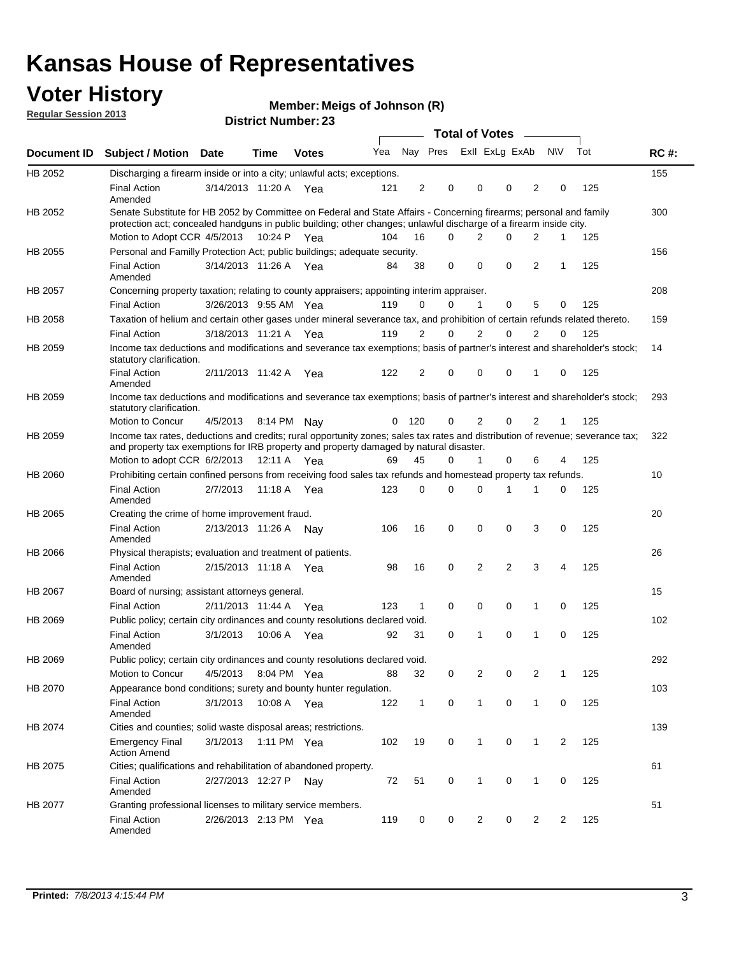## **Voter History**

**Member: Meigs of Johnson (R)** 

**Regular Session 2013**

|             |                                                                                                                                                                                                                                          |                       |         | <b>DISTRICT MAILINGL. 29</b> |     |              |             | Total of Votes – |                |                |                |                |     |             |
|-------------|------------------------------------------------------------------------------------------------------------------------------------------------------------------------------------------------------------------------------------------|-----------------------|---------|------------------------------|-----|--------------|-------------|------------------|----------------|----------------|----------------|----------------|-----|-------------|
| Document ID | <b>Subject / Motion</b>                                                                                                                                                                                                                  | <b>Date</b>           | Time    | <b>Votes</b>                 | Yea |              | Nay Pres    |                  | Exll ExLg ExAb |                |                | <b>NV</b>      | Tot | <b>RC#:</b> |
| HB 2052     | Discharging a firearm inside or into a city; unlawful acts; exceptions.                                                                                                                                                                  |                       |         |                              |     |              |             |                  |                |                |                |                |     | 155         |
|             | <b>Final Action</b><br>Amended                                                                                                                                                                                                           | 3/14/2013 11:20 A Yea |         |                              | 121 | 2            | 0           |                  | 0              | 0              | $\overline{2}$ | 0              | 125 |             |
| HB 2052     | Senate Substitute for HB 2052 by Committee on Federal and State Affairs - Concerning firearms; personal and family<br>protection act; concealed handguns in public building; other changes; unlawful discharge of a firearm inside city. |                       |         |                              |     |              |             |                  |                |                |                |                |     | 300         |
|             | Motion to Adopt CCR 4/5/2013 10:24 P Yea                                                                                                                                                                                                 |                       |         |                              | 104 | 16           | $\Omega$    |                  | 2              | 0              | 2              | 1              | 125 |             |
| HB 2055     | Personal and Familly Protection Act; public buildings; adequate security.                                                                                                                                                                |                       |         |                              |     |              |             |                  |                |                |                |                |     | 156         |
|             | <b>Final Action</b><br>Amended                                                                                                                                                                                                           | 3/14/2013 11:26 A     |         | Yea                          | 84  | 38           | 0           |                  | $\mathbf 0$    | 0              | $\overline{2}$ | 1              | 125 |             |
| HB 2057     | Concerning property taxation; relating to county appraisers; appointing interim appraiser.                                                                                                                                               |                       |         |                              |     |              |             |                  |                |                |                |                |     | 208         |
|             | <b>Final Action</b>                                                                                                                                                                                                                      | 3/26/2013 9:55 AM Yea |         |                              | 119 | 0            | 0           |                  | 1              | 0              | 5              | 0              | 125 |             |
| HB 2058     | Taxation of helium and certain other gases under mineral severance tax, and prohibition of certain refunds related thereto.                                                                                                              |                       |         |                              |     |              |             |                  |                |                |                |                |     | 159         |
|             | <b>Final Action</b>                                                                                                                                                                                                                      | 3/18/2013 11:21 A Yea |         |                              | 119 | 2            | 0           |                  | 2              | 0              | 2              | 0              | 125 |             |
| HB 2059     | Income tax deductions and modifications and severance tax exemptions; basis of partner's interest and shareholder's stock;<br>statutory clarification.                                                                                   |                       |         |                              |     |              |             |                  |                |                |                |                |     | 14          |
|             | <b>Final Action</b><br>Amended                                                                                                                                                                                                           | 2/11/2013 11:42 A     |         | Yea                          | 122 | 2            | 0           |                  | $\Omega$       | 0              | 1              | 0              | 125 |             |
| HB 2059     | Income tax deductions and modifications and severance tax exemptions; basis of partner's interest and shareholder's stock;<br>statutory clarification.                                                                                   |                       |         |                              |     |              |             |                  |                |                |                |                |     | 293         |
|             | <b>Motion to Concur</b>                                                                                                                                                                                                                  | 4/5/2013              |         | 8:14 PM Nav                  | 0   | 120          | 0           |                  | 2              | $\Omega$       | 2              | 1              | 125 |             |
| HB 2059     | Income tax rates, deductions and credits; rural opportunity zones; sales tax rates and distribution of revenue; severance tax;<br>and property tax exemptions for IRB property and property damaged by natural disaster.                 |                       |         |                              |     |              |             |                  |                |                |                |                |     | 322         |
|             | Motion to adopt CCR 6/2/2013                                                                                                                                                                                                             |                       |         | 12:11 A Yea                  | 69  | 45           | 0           |                  | $\mathbf{1}$   | 0              | 6              | 4              | 125 |             |
| HB 2060     | Prohibiting certain confined persons from receiving food sales tax refunds and homestead property tax refunds.                                                                                                                           |                       |         |                              |     |              |             |                  |                |                |                |                |     | 10          |
|             | <b>Final Action</b><br>Amended                                                                                                                                                                                                           | 2/7/2013              |         | 11:18 A Yea                  | 123 | 0            | $\Omega$    |                  | $\Omega$       | 1              | 1              | 0              | 125 |             |
| HB 2065     | Creating the crime of home improvement fraud.                                                                                                                                                                                            |                       |         |                              |     |              |             |                  |                |                |                |                |     | 20          |
|             | <b>Final Action</b><br>Amended                                                                                                                                                                                                           | 2/13/2013 11:26 A Nay |         |                              | 106 | 16           | $\mathbf 0$ |                  | $\mathbf 0$    | 0              | 3              | 0              | 125 |             |
| HB 2066     | Physical therapists; evaluation and treatment of patients.                                                                                                                                                                               |                       |         |                              |     |              |             |                  |                |                |                |                |     | 26          |
|             | <b>Final Action</b><br>Amended                                                                                                                                                                                                           | 2/15/2013 11:18 A Yea |         |                              | 98  | 16           | 0           |                  | 2              | $\overline{2}$ | 3              | 4              | 125 |             |
| HB 2067     | Board of nursing; assistant attorneys general.                                                                                                                                                                                           |                       |         |                              |     |              |             |                  |                |                |                |                |     | 15          |
|             | <b>Final Action</b>                                                                                                                                                                                                                      | 2/11/2013 11:44 A Yea |         |                              | 123 | 1            | $\mathbf 0$ |                  | 0              | 0              | 1              | 0              | 125 |             |
| HB 2069     | Public policy; certain city ordinances and county resolutions declared void.                                                                                                                                                             |                       |         |                              |     |              |             |                  |                |                |                |                |     | 102         |
|             | <b>Final Action</b><br>Amended                                                                                                                                                                                                           | 3/1/2013              | 10:06 A | Yea                          | 92  | 31           | $\Omega$    |                  | 1              | $\Omega$       | 1              | $\Omega$       | 125 |             |
| HB 2069     | Public policy; certain city ordinances and county resolutions declared void.                                                                                                                                                             |                       |         |                              |     |              |             |                  |                |                |                |                |     | 292         |
|             | Motion to Concur                                                                                                                                                                                                                         | 4/5/2013              |         | 8:04 PM Yea                  | 88  | 32           | 0           |                  | $\overline{2}$ | 0              | $\overline{2}$ | 1              | 125 |             |
| HB 2070     | Appearance bond conditions; surety and bounty hunter regulation.                                                                                                                                                                         |                       |         |                              |     |              |             |                  |                |                |                |                |     | 103         |
|             | <b>Final Action</b><br>Amended                                                                                                                                                                                                           | 3/1/2013              |         | 10:08 A Yea                  | 122 | $\mathbf{1}$ | $\mathbf 0$ |                  | $\mathbf{1}$   | 0              | $\mathbf{1}$   | 0              | 125 |             |
| HB 2074     | Cities and counties; solid waste disposal areas; restrictions.                                                                                                                                                                           |                       |         |                              |     |              |             |                  |                |                |                |                |     | 139         |
|             | <b>Emergency Final</b><br><b>Action Amend</b>                                                                                                                                                                                            | 3/1/2013              |         | 1:11 PM Yea                  | 102 | 19           | 0           |                  | $\mathbf{1}$   | 0              | 1              | $\overline{2}$ | 125 |             |
| HB 2075     | Cities; qualifications and rehabilitation of abandoned property.                                                                                                                                                                         |                       |         |                              |     |              |             |                  |                |                |                |                |     | 61          |
|             | <b>Final Action</b><br>Amended                                                                                                                                                                                                           | 2/27/2013 12:27 P     |         | Nav                          | 72  | 51           | 0           |                  | 1              | 0              | 1              | 0              | 125 |             |
| HB 2077     | Granting professional licenses to military service members.<br><b>Final Action</b><br>Amended                                                                                                                                            | 2/26/2013 2:13 PM Yea |         |                              | 119 | 0            | 0           |                  | 2              | 0              | 2              | 2              | 125 | 51          |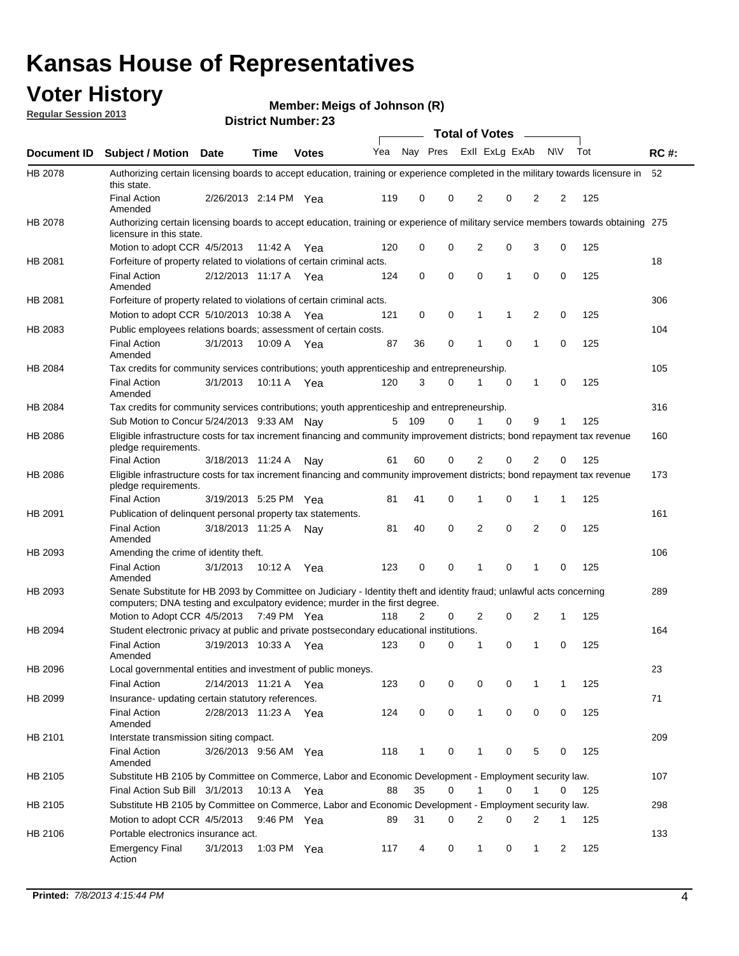## **Voter History**

**Member: Meigs of Johnson (R)** 

**Regular Session 2013**

|             |                                                                                                                                                                                                       |                       |         | <b>DISTRICT MAILINGL. 29</b> |     |              |          |                | Total of Votes – |                |             |     |             |
|-------------|-------------------------------------------------------------------------------------------------------------------------------------------------------------------------------------------------------|-----------------------|---------|------------------------------|-----|--------------|----------|----------------|------------------|----------------|-------------|-----|-------------|
| Document ID | <b>Subject / Motion Date</b>                                                                                                                                                                          |                       | Time    | <b>Votes</b>                 | Yea |              | Nay Pres |                | Exll ExLg ExAb   |                | <b>NV</b>   | Tot | <b>RC#:</b> |
| HB 2078     | Authorizing certain licensing boards to accept education, training or experience completed in the military towards licensure in<br>this state.                                                        |                       |         |                              |     |              |          |                |                  |                |             |     | 52          |
|             | <b>Final Action</b><br>Amended                                                                                                                                                                        | 2/26/2013 2:14 PM Yea |         |                              | 119 | 0            | 0        | 2              | 0                | 2              | 2           | 125 |             |
| HB 2078     | Authorizing certain licensing boards to accept education, training or experience of military service members towards obtaining 275<br>licensure in this state.                                        |                       |         |                              |     |              |          |                |                  |                |             |     |             |
|             | Motion to adopt CCR 4/5/2013                                                                                                                                                                          |                       | 11:42 A | Yea                          | 120 | 0            | 0        | 2              | 0                | 3              | 0           | 125 |             |
| HB 2081     | Forfeiture of property related to violations of certain criminal acts.                                                                                                                                |                       |         |                              |     |              |          |                |                  |                |             |     | 18          |
|             | <b>Final Action</b><br>Amended                                                                                                                                                                        | 2/12/2013 11:17 A Yea |         |                              | 124 | 0            | 0        | 0              | 1                | 0              | 0           | 125 |             |
| HB 2081     | Forfeiture of property related to violations of certain criminal acts.                                                                                                                                |                       |         |                              |     |              |          |                |                  |                |             |     | 306         |
|             | Motion to adopt CCR 5/10/2013 10:38 A                                                                                                                                                                 |                       |         | Yea                          | 121 | 0            | 0        | 1              | 1                | 2              | 0           | 125 |             |
| HB 2083     | Public employees relations boards; assessment of certain costs.                                                                                                                                       |                       |         |                              |     |              |          |                |                  |                |             |     | 104         |
|             | <b>Final Action</b><br>Amended                                                                                                                                                                        | 3/1/2013              | 10:09 A | Yea                          | 87  | 36           | 0        | 1              | 0                | 1              | $\mathbf 0$ | 125 |             |
| HB 2084     | Tax credits for community services contributions; youth apprenticeship and entrepreneurship.                                                                                                          |                       |         |                              |     |              |          |                |                  |                |             |     | 105         |
|             | <b>Final Action</b><br>Amended                                                                                                                                                                        | 3/1/2013              | 10:11 A | Yea                          | 120 | 3            | 0        | 1              | 0                | 1              | 0           | 125 |             |
| HB 2084     | Tax credits for community services contributions; youth apprenticeship and entrepreneurship.                                                                                                          |                       |         |                              |     |              |          |                |                  |                |             |     | 316         |
|             | Sub Motion to Concur 5/24/2013 9:33 AM Nav                                                                                                                                                            |                       |         |                              | 5   | 109          | 0        |                | $\Omega$         | 9              | 1           | 125 |             |
| HB 2086     | Eligible infrastructure costs for tax increment financing and community improvement districts; bond repayment tax revenue<br>pledge requirements.                                                     |                       |         |                              |     |              |          |                |                  |                |             |     | 160         |
|             | <b>Final Action</b>                                                                                                                                                                                   | 3/18/2013 11:24 A     |         | Nay                          | 61  | 60           | 0        | 2              | 0                | $\overline{2}$ | 0           | 125 |             |
| HB 2086     | Eligible infrastructure costs for tax increment financing and community improvement districts; bond repayment tax revenue<br>pledge requirements.                                                     |                       |         |                              |     |              |          |                |                  |                |             |     | 173         |
|             | <b>Final Action</b>                                                                                                                                                                                   | 3/19/2013 5:25 PM     |         | Yea                          | 81  | 41           | 0        | 1              | 0                | 1              | 1           | 125 |             |
| HB 2091     | Publication of delinguent personal property tax statements.                                                                                                                                           |                       |         |                              |     |              |          |                |                  |                |             |     | 161         |
|             | <b>Final Action</b><br>Amended                                                                                                                                                                        | 3/18/2013 11:25 A     |         | Nav                          | 81  | 40           | 0        | 2              | 0                | $\overline{2}$ | 0           | 125 |             |
| HB 2093     | Amending the crime of identity theft.                                                                                                                                                                 |                       |         |                              |     |              |          |                |                  |                |             |     | 106         |
|             | <b>Final Action</b><br>Amended                                                                                                                                                                        | 3/1/2013              | 10:12 A | Yea                          | 123 | 0            | 0        |                | 0                | 1              | 0           | 125 |             |
| HB 2093     | Senate Substitute for HB 2093 by Committee on Judiciary - Identity theft and identity fraud; unlawful acts concerning<br>computers; DNA testing and exculpatory evidence; murder in the first degree. |                       |         |                              |     |              |          |                |                  |                |             |     | 289         |
|             | Motion to Adopt CCR 4/5/2013 7:49 PM Yea                                                                                                                                                              |                       |         |                              | 118 | 2            | 0        | 2              | 0                | 2              | 1           | 125 |             |
| HB 2094     | Student electronic privacy at public and private postsecondary educational institutions.<br><b>Final Action</b><br>Amended                                                                            | 3/19/2013 10:33 A     |         | Yea                          | 123 | 0            | 0        | 1              | 0                | 1              | 0           | 125 | 164         |
| HB 2096     | Local governmental entities and investment of public moneys.                                                                                                                                          |                       |         |                              |     |              |          |                |                  |                |             |     | 23          |
|             | <b>Final Action</b>                                                                                                                                                                                   | 2/14/2013 11:21 A     |         | Yea                          | 123 | 0            | 0        | 0              | 0                | 1              | 1           | 125 |             |
| HB 2099     | Insurance- updating certain statutory references.                                                                                                                                                     |                       |         |                              |     |              |          |                |                  |                |             |     | 71          |
|             | <b>Final Action</b><br>Amended                                                                                                                                                                        | 2/28/2013 11:23 A     |         | Yea                          | 124 | 0            | 0        | $\mathbf{1}$   | 0                | 0              | 0           | 125 |             |
| HB 2101     | Interstate transmission siting compact.                                                                                                                                                               |                       |         |                              |     |              |          |                |                  |                |             |     | 209         |
|             | <b>Final Action</b><br>Amended                                                                                                                                                                        | 3/26/2013 9:56 AM Yea |         |                              | 118 | $\mathbf{1}$ | 0        | 1              | 0                | 5              | 0           | 125 |             |
| HB 2105     | Substitute HB 2105 by Committee on Commerce, Labor and Economic Development - Employment security law.                                                                                                |                       |         |                              |     |              |          |                |                  |                |             |     | 107         |
|             | Final Action Sub Bill 3/1/2013                                                                                                                                                                        |                       |         | 10:13 A Yea                  | 88  | 35           | 0        | 1              | 0                | 1              | 0           | 125 |             |
| HB 2105     | Substitute HB 2105 by Committee on Commerce, Labor and Economic Development - Employment security law.                                                                                                |                       |         |                              |     |              |          |                |                  |                |             |     | 298         |
|             | Motion to adopt CCR 4/5/2013                                                                                                                                                                          |                       |         | 9:46 PM Yea                  | 89  | 31           | 0        | $\overline{2}$ | 0                | 2              | 1           | 125 |             |
| HB 2106     | Portable electronics insurance act.                                                                                                                                                                   |                       |         |                              |     |              |          |                |                  |                |             |     | 133         |
|             | <b>Emergency Final</b><br>Action                                                                                                                                                                      | 3/1/2013              |         | 1:03 PM Yea                  | 117 | 4            | 0        | $\mathbf{1}$   | 0                | $\mathbf{1}$   | 2           | 125 |             |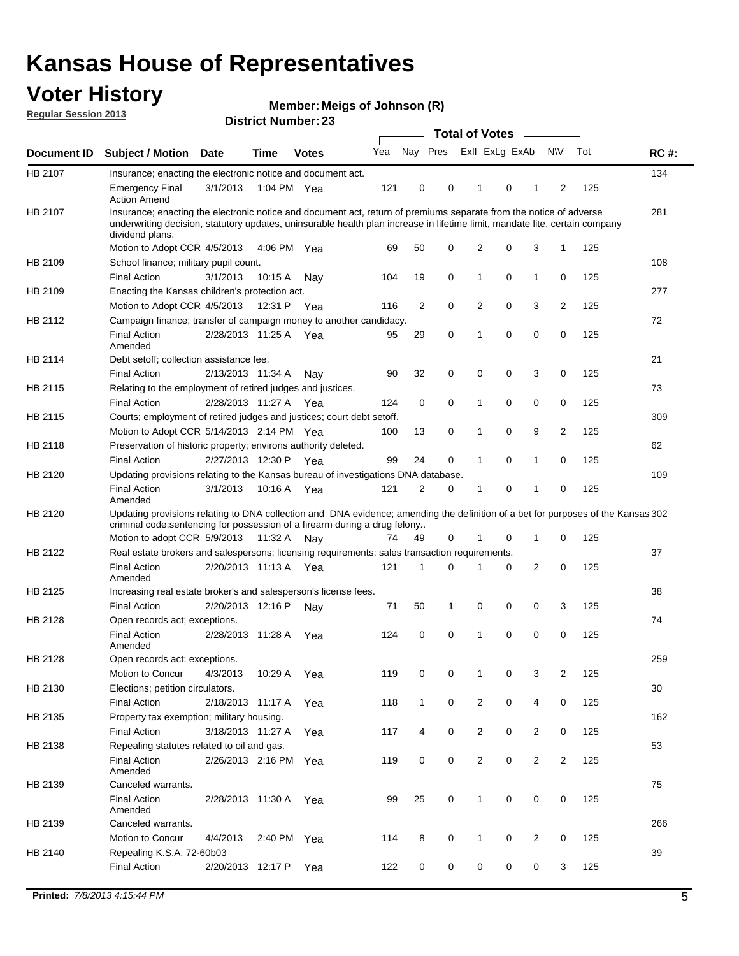## **Voter History**

**Member: Meigs of Johnson (R)** 

**Regular Session 2013**

|             |                                                                                                                                                                                                                                                                      |                       |             |              |     |              |   | <b>Total of Votes</b>   |   | $\sim$         |                |     |             |
|-------------|----------------------------------------------------------------------------------------------------------------------------------------------------------------------------------------------------------------------------------------------------------------------|-----------------------|-------------|--------------|-----|--------------|---|-------------------------|---|----------------|----------------|-----|-------------|
| Document ID | <b>Subject / Motion</b>                                                                                                                                                                                                                                              | Date                  | <b>Time</b> | <b>Votes</b> | Yea |              |   | Nay Pres Exll ExLg ExAb |   |                | <b>NV</b>      | Tot | <b>RC#:</b> |
| HB 2107     | Insurance; enacting the electronic notice and document act.                                                                                                                                                                                                          |                       |             |              |     |              |   |                         |   |                |                |     | 134         |
|             | <b>Emergency Final</b><br><b>Action Amend</b>                                                                                                                                                                                                                        | 3/1/2013              | 1:04 PM Yea |              | 121 | 0            | 0 | 1                       | 0 | 1              | 2              | 125 |             |
| HB 2107     | Insurance; enacting the electronic notice and document act, return of premiums separate from the notice of adverse<br>underwriting decision, statutory updates, uninsurable health plan increase in lifetime limit, mandate lite, certain company<br>dividend plans. |                       |             |              |     |              |   |                         |   |                |                |     | 281         |
|             | Motion to Adopt CCR 4/5/2013                                                                                                                                                                                                                                         |                       | 4:06 PM Yea |              | 69  | 50           | 0 | $\overline{2}$          | 0 | 3              | 1              | 125 |             |
| HB 2109     | School finance; military pupil count.                                                                                                                                                                                                                                |                       |             |              |     |              |   |                         |   |                |                |     | 108         |
|             | <b>Final Action</b>                                                                                                                                                                                                                                                  | 3/1/2013              | 10:15A      | Nav          | 104 | 19           | 0 | 1                       | 0 | $\mathbf{1}$   | 0              | 125 |             |
| HB 2109     | Enacting the Kansas children's protection act.                                                                                                                                                                                                                       |                       |             |              |     |              |   |                         |   |                |                |     | 277         |
|             | Motion to Adopt CCR 4/5/2013                                                                                                                                                                                                                                         |                       | 12:31 P Yea |              | 116 | 2            | 0 | 2                       | 0 | 3              | $\overline{2}$ | 125 |             |
| HB 2112     | Campaign finance; transfer of campaign money to another candidacy.                                                                                                                                                                                                   |                       |             |              |     |              |   |                         |   |                |                |     | 72          |
|             | <b>Final Action</b><br>Amended                                                                                                                                                                                                                                       | 2/28/2013 11:25 A Yea |             |              | 95  | 29           | 0 | 1                       | 0 | 0              | 0              | 125 |             |
| HB 2114     | Debt setoff; collection assistance fee.                                                                                                                                                                                                                              |                       |             |              |     |              |   |                         |   |                |                |     | 21          |
|             | <b>Final Action</b>                                                                                                                                                                                                                                                  | 2/13/2013 11:34 A     |             | Nay          | 90  | 32           | 0 | 0                       | 0 | 3              | 0              | 125 |             |
| HB 2115     | Relating to the employment of retired judges and justices.                                                                                                                                                                                                           |                       |             |              |     |              |   |                         |   |                |                |     | 73          |
|             | <b>Final Action</b>                                                                                                                                                                                                                                                  | 2/28/2013 11:27 A     |             | Yea          | 124 | 0            | 0 | 1                       | 0 | 0              | 0              | 125 |             |
| HB 2115     | Courts; employment of retired judges and justices; court debt setoff.                                                                                                                                                                                                |                       |             |              |     |              |   |                         |   |                |                |     | 309         |
|             | Motion to Adopt CCR 5/14/2013 2:14 PM Yea                                                                                                                                                                                                                            |                       |             |              | 100 | 13           | 0 | 1                       | 0 | 9              | 2              | 125 |             |
| HB 2118     | Preservation of historic property; environs authority deleted.                                                                                                                                                                                                       |                       |             |              |     |              |   |                         |   |                |                |     | 62          |
|             | <b>Final Action</b>                                                                                                                                                                                                                                                  | 2/27/2013 12:30 P     |             | Yea          | 99  | 24           | 0 |                         | 0 | 1              | 0              | 125 |             |
| HB 2120     | Updating provisions relating to the Kansas bureau of investigations DNA database.                                                                                                                                                                                    |                       |             |              |     |              |   |                         |   |                |                |     | 109         |
|             | <b>Final Action</b><br>Amended                                                                                                                                                                                                                                       | 3/1/2013              | 10:16 A     | Yea          | 121 | 2            | 0 | 1                       | 0 | 1              | 0              | 125 |             |
| HB 2120     | Updating provisions relating to DNA collection and DNA evidence; amending the definition of a bet for purposes of the Kansas 302                                                                                                                                     |                       |             |              |     |              |   |                         |   |                |                |     |             |
|             | criminal code; sentencing for possession of a firearm during a drug felony<br>Motion to adopt CCR 5/9/2013                                                                                                                                                           |                       | 11:32 A     | Nav          | 74  | 49           | 0 |                         | 0 | 1              | 0              | 125 |             |
| HB 2122     | Real estate brokers and salespersons; licensing requirements; sales transaction requirements.                                                                                                                                                                        |                       |             |              |     |              |   |                         |   |                |                |     | 37          |
|             | <b>Final Action</b><br>Amended                                                                                                                                                                                                                                       | 2/20/2013 11:13 A Yea |             |              | 121 | 1            | 0 |                         | 0 | 2              | 0              | 125 |             |
| HB 2125     | Increasing real estate broker's and salesperson's license fees.                                                                                                                                                                                                      |                       |             |              |     |              |   |                         |   |                |                |     | 38          |
|             | <b>Final Action</b>                                                                                                                                                                                                                                                  | 2/20/2013 12:16 P     |             | Nav          | 71  | 50           | 1 | 0                       | 0 | 0              | 3              | 125 |             |
| HB 2128     | Open records act; exceptions.                                                                                                                                                                                                                                        |                       |             |              |     |              |   |                         |   |                |                |     | 74          |
|             | <b>Final Action</b><br>Amended                                                                                                                                                                                                                                       | 2/28/2013 11:28 A     |             | Yea          | 124 | 0            | 0 | 1                       | 0 | 0              | 0              | 125 |             |
| HB 2128     | Open records act; exceptions.                                                                                                                                                                                                                                        |                       |             |              |     |              |   |                         |   |                |                |     | 259         |
|             | Motion to Concur                                                                                                                                                                                                                                                     | 4/3/2013              | 10:29 A     | Yea          | 119 | 0            | 0 |                         | 0 | 3              | 2              | 125 |             |
| HB 2130     | Elections; petition circulators.                                                                                                                                                                                                                                     |                       |             |              |     |              |   |                         |   |                |                |     | 30          |
|             | <b>Final Action</b>                                                                                                                                                                                                                                                  | 2/18/2013 11:17 A     |             | Yea          | 118 | $\mathbf{1}$ | 0 | $\overline{2}$          | 0 | 4              | 0              | 125 |             |
| HB 2135     | Property tax exemption; military housing.                                                                                                                                                                                                                            |                       |             |              |     |              |   |                         |   |                |                |     | 162         |
|             | <b>Final Action</b>                                                                                                                                                                                                                                                  | 3/18/2013 11:27 A     |             | Yea          | 117 | 4            | 0 | $\overline{c}$          | 0 | $\overline{2}$ | 0              | 125 |             |
| HB 2138     | Repealing statutes related to oil and gas.                                                                                                                                                                                                                           |                       |             |              |     |              |   |                         |   |                |                |     | 53          |
|             | <b>Final Action</b><br>Amended                                                                                                                                                                                                                                       | 2/26/2013 2:16 PM Yea |             |              | 119 | 0            | 0 | $\overline{2}$          | 0 | $\overline{2}$ | 2              | 125 |             |
| HB 2139     | Canceled warrants.                                                                                                                                                                                                                                                   |                       |             |              |     |              |   |                         |   |                |                |     | 75          |
|             | <b>Final Action</b><br>Amended                                                                                                                                                                                                                                       | 2/28/2013 11:30 A Yea |             |              | 99  | 25           | 0 | $\mathbf{1}$            | 0 | 0              | 0              | 125 |             |
| HB 2139     | Canceled warrants.                                                                                                                                                                                                                                                   |                       |             |              |     |              |   |                         |   |                |                |     | 266         |
|             | Motion to Concur                                                                                                                                                                                                                                                     | 4/4/2013              | 2:40 PM Yea |              | 114 | 8            | 0 | 1                       | 0 | 2              | 0              | 125 |             |
| HB 2140     | Repealing K.S.A. 72-60b03                                                                                                                                                                                                                                            |                       |             |              |     |              |   |                         |   |                |                |     | 39          |
|             | <b>Final Action</b>                                                                                                                                                                                                                                                  | 2/20/2013 12:17 P     |             | Yea          | 122 | 0            | 0 | 0                       | 0 | 0              | 3              | 125 |             |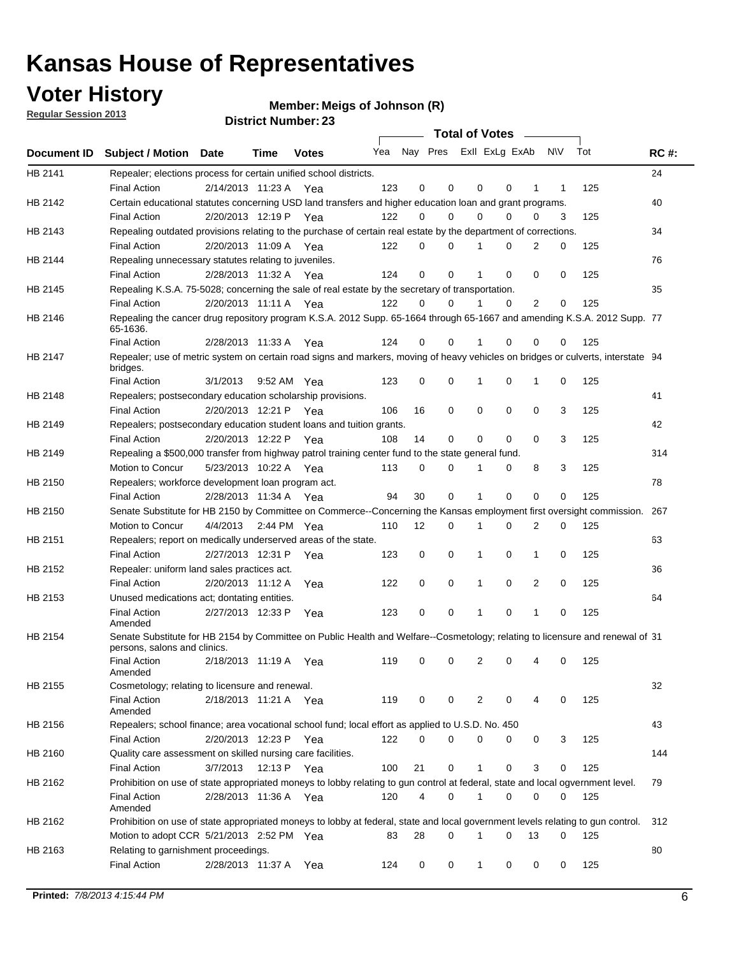**Voter History** 

**Member: Meigs of Johnson (R)** 

**Regular Session 2013**

|             |                                                                                                                                                               |                       |      |              |     |    | <b>Total of Votes</b>   |              |          | $\sim$         |     |     |             |
|-------------|---------------------------------------------------------------------------------------------------------------------------------------------------------------|-----------------------|------|--------------|-----|----|-------------------------|--------------|----------|----------------|-----|-----|-------------|
| Document ID | <b>Subject / Motion Date</b>                                                                                                                                  |                       | Time | <b>Votes</b> | Yea |    | Nay Pres Exll ExLg ExAb |              |          |                | N\V | Tot | <b>RC#:</b> |
| HB 2141     | Repealer; elections process for certain unified school districts.                                                                                             |                       |      |              |     |    |                         |              |          |                |     |     | 24          |
|             | <b>Final Action</b>                                                                                                                                           | 2/14/2013 11:23 A     |      | Yea          | 123 | 0  | 0                       | 0            | 0        | 1              | 1   | 125 |             |
| HB 2142     | Certain educational statutes concerning USD land transfers and higher education loan and grant programs.                                                      |                       |      |              |     |    |                         |              |          |                |     |     | 40          |
|             | <b>Final Action</b>                                                                                                                                           | 2/20/2013 12:19 P Yea |      |              | 122 | 0  | 0                       | 0            | 0        | 0              | 3   | 125 |             |
| HB 2143     | Repealing outdated provisions relating to the purchase of certain real estate by the department of corrections.                                               |                       |      |              |     |    |                         |              |          |                |     |     | 34          |
|             | <b>Final Action</b>                                                                                                                                           | 2/20/2013 11:09 A Yea |      |              | 122 | 0  | $\Omega$                | 1            | 0        | 2              | 0   | 125 |             |
| HB 2144     | Repealing unnecessary statutes relating to juveniles.                                                                                                         |                       |      |              |     |    |                         |              |          |                |     |     | 76          |
|             | <b>Final Action</b>                                                                                                                                           | 2/28/2013 11:32 A Yea |      |              | 124 | 0  | 0                       | 1            | 0        | 0              | 0   | 125 |             |
| HB 2145     | Repealing K.S.A. 75-5028; concerning the sale of real estate by the secretary of transportation.                                                              |                       |      |              |     |    |                         |              |          |                |     |     | 35          |
|             | <b>Final Action</b>                                                                                                                                           | 2/20/2013 11:11 A Yea |      |              | 122 | 0  | 0                       | 1            | 0        | $\overline{2}$ | 0   | 125 |             |
| HB 2146     | Repealing the cancer drug repository program K.S.A. 2012 Supp. 65-1664 through 65-1667 and amending K.S.A. 2012 Supp. 77<br>65-1636.                          |                       |      |              |     |    |                         |              |          |                |     |     |             |
|             | <b>Final Action</b>                                                                                                                                           | 2/28/2013 11:33 A     |      | Yea          | 124 | 0  | 0                       |              | 0        | 0              | 0   | 125 |             |
| HB 2147     | Repealer; use of metric system on certain road signs and markers, moving of heavy vehicles on bridges or culverts, interstate 94<br>bridges.                  |                       |      |              |     |    |                         |              |          |                |     |     |             |
|             | <b>Final Action</b>                                                                                                                                           | 3/1/2013              |      | 9:52 AM Yea  | 123 | 0  | 0                       | 1            | 0        | 1              | 0   | 125 |             |
| HB 2148     | Repealers; postsecondary education scholarship provisions.                                                                                                    |                       |      |              |     |    |                         |              |          |                |     |     | 41          |
|             | <b>Final Action</b>                                                                                                                                           | 2/20/2013 12:21 P Yea |      |              | 106 | 16 | 0                       | 0            | 0        | 0              | 3   | 125 |             |
| HB 2149     | Repealers; postsecondary education student loans and tuition grants.                                                                                          |                       |      |              |     |    |                         |              |          |                |     |     | 42          |
|             | <b>Final Action</b>                                                                                                                                           | 2/20/2013 12:22 P     |      | Yea          | 108 | 14 | 0                       | 0            | $\Omega$ | 0              | 3   | 125 |             |
| HB 2149     | Repealing a \$500,000 transfer from highway patrol training center fund to the state general fund.                                                            |                       |      |              |     |    |                         |              |          |                |     |     | 314         |
|             | Motion to Concur                                                                                                                                              | 5/23/2013 10:22 A Yea |      |              | 113 | 0  | 0                       |              | 0        | 8              | 3   | 125 |             |
| HB 2150     | Repealers; workforce development loan program act.                                                                                                            |                       |      |              |     |    |                         |              |          |                |     |     | 78          |
|             | <b>Final Action</b>                                                                                                                                           | 2/28/2013 11:34 A Yea |      |              | 94  | 30 | 0                       | 1            | 0        | 0              | 0   | 125 |             |
| HB 2150     | Senate Substitute for HB 2150 by Committee on Commerce--Concerning the Kansas employment first oversight commission.                                          |                       |      |              |     |    |                         |              |          |                |     |     | 267         |
|             | Motion to Concur                                                                                                                                              | 4/4/2013              |      | 2:44 PM Yea  | 110 | 12 | 0                       | 1            | 0        | 2              | 0   | 125 |             |
| HB 2151     | Repealers; report on medically underserved areas of the state.                                                                                                |                       |      |              |     |    |                         |              |          |                |     |     | 63          |
|             | <b>Final Action</b>                                                                                                                                           | 2/27/2013 12:31 P     |      | Yea          | 123 | 0  | 0                       | 1            | 0        | $\mathbf{1}$   | 0   | 125 |             |
| HB 2152     | Repealer: uniform land sales practices act.                                                                                                                   |                       |      |              |     |    |                         |              |          |                |     |     | 36          |
|             | <b>Final Action</b>                                                                                                                                           | 2/20/2013 11:12 A     |      | Yea          | 122 | 0  | 0                       | 1            | 0        | 2              | 0   | 125 |             |
| HB 2153     | Unused medications act; dontating entities.                                                                                                                   |                       |      |              |     |    |                         |              |          |                |     |     | 64          |
|             | <b>Final Action</b><br>Amended                                                                                                                                | 2/27/2013 12:33 P     |      | Yea          | 123 | 0  | 0                       | 1            | 0        | 1              | 0   | 125 |             |
| HB 2154     | Senate Substitute for HB 2154 by Committee on Public Health and Welfare--Cosmetology; relating to licensure and renewal of 31<br>persons, salons and clinics. |                       |      |              |     |    |                         |              |          |                |     |     |             |
|             | <b>Final Action</b><br>Amended                                                                                                                                | 2/18/2013 11:19 A     |      | Yea          | 119 | 0  | 0                       | 2            | 0        |                | 0   | 125 |             |
| HB 2155     | Cosmetology; relating to licensure and renewal.                                                                                                               |                       |      |              |     |    |                         |              |          |                |     |     | 32          |
|             | <b>Final Action</b><br>Amended                                                                                                                                | 2/18/2013 11:21 A Yea |      |              | 119 | 0  | 0                       | 2            | 0        | 4              | 0   | 125 |             |
| HB 2156     | Repealers; school finance; area vocational school fund; local effort as applied to U.S.D. No. 450                                                             |                       |      |              |     |    |                         |              |          |                |     |     | 43          |
|             | <b>Final Action</b>                                                                                                                                           | 2/20/2013 12:23 P Yea |      |              | 122 | 0  | 0                       | 0            | 0        | 0              | 3   | 125 |             |
| HB 2160     | Quality care assessment on skilled nursing care facilities.                                                                                                   |                       |      |              |     |    |                         |              |          |                |     |     | 144         |
|             | <b>Final Action</b>                                                                                                                                           | 3/7/2013              |      | 12:13 P Yea  | 100 | 21 | 0                       | $\mathbf{1}$ | 0        | 3              | 0   | 125 |             |
| HB 2162     | Prohibition on use of state appropriated moneys to lobby relating to gun control at federal, state and local ogvernment level.                                |                       |      |              |     |    |                         |              |          |                |     |     | 79          |
|             | <b>Final Action</b><br>Amended                                                                                                                                | 2/28/2013 11:36 A Yea |      |              | 120 | 4  | 0                       | 1            | 0        | 0              | 0   | 125 |             |
| HB 2162     | Prohibition on use of state appropriated moneys to lobby at federal, state and local government levels relating to gun control.                               |                       |      |              |     |    |                         |              |          |                |     |     | 312         |
|             | Motion to adopt CCR 5/21/2013 2:52 PM Yea                                                                                                                     |                       |      |              | 83  | 28 | $\Omega$                | 1            | 0        | 13             | 0   | 125 |             |
| HB 2163     | Relating to garnishment proceedings.                                                                                                                          |                       |      |              |     |    |                         |              |          |                |     |     | 80          |
|             | <b>Final Action</b>                                                                                                                                           | 2/28/2013 11:37 A Yea |      |              | 124 | 0  | 0                       | $\mathbf{1}$ | 0        | 0              | 0   | 125 |             |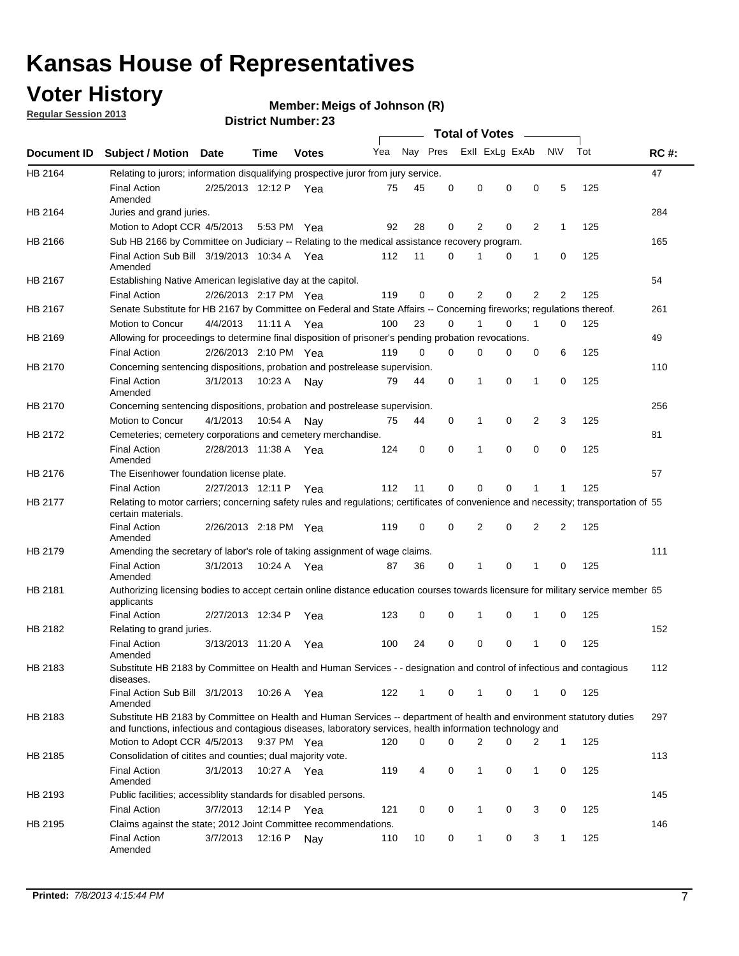## **Voter History**

**Member: Meigs of Johnson (R)** 

**Regular Session 2013**

|                |                                                                                                                                                                                                                                    |                       |             |              |     |          |          | <b>Total of Votes</b> |   |              |              |     |             |
|----------------|------------------------------------------------------------------------------------------------------------------------------------------------------------------------------------------------------------------------------------|-----------------------|-------------|--------------|-----|----------|----------|-----------------------|---|--------------|--------------|-----|-------------|
| Document ID    | Subject / Motion Date                                                                                                                                                                                                              |                       | Time        | <b>Votes</b> | Yea | Nay Pres |          | Exll ExLg ExAb        |   |              | <b>NV</b>    | Tot | <b>RC#:</b> |
| HB 2164        | Relating to jurors; information disqualifying prospective juror from jury service.                                                                                                                                                 |                       |             |              |     |          |          |                       |   |              |              |     | 47          |
|                | <b>Final Action</b><br>Amended                                                                                                                                                                                                     | 2/25/2013 12:12 P Yea |             |              | 75  | 45       | 0        | 0                     | 0 | 0            | 5            | 125 |             |
| HB 2164        | Juries and grand juries.                                                                                                                                                                                                           |                       |             |              |     |          |          |                       |   |              |              |     | 284         |
|                | Motion to Adopt CCR 4/5/2013                                                                                                                                                                                                       |                       |             | 5:53 PM Yea  | 92  | 28       | 0        | 2                     | 0 | 2            | $\mathbf{1}$ | 125 |             |
| HB 2166        | Sub HB 2166 by Committee on Judiciary -- Relating to the medical assistance recovery program.                                                                                                                                      |                       |             |              |     |          |          |                       |   |              |              |     | 165         |
|                | Final Action Sub Bill 3/19/2013 10:34 A Yea<br>Amended                                                                                                                                                                             |                       |             |              | 112 | 11       | 0        |                       | 0 | 1            | 0            | 125 |             |
| HB 2167        | Establishing Native American legislative day at the capitol.                                                                                                                                                                       |                       |             |              |     |          |          |                       |   |              |              |     | 54          |
|                | <b>Final Action</b>                                                                                                                                                                                                                | 2/26/2013 2:17 PM Yea |             |              | 119 | 0        | 0        | 2                     | 0 | 2            | 2            | 125 |             |
| HB 2167        | Senate Substitute for HB 2167 by Committee on Federal and State Affairs -- Concerning fireworks; regulations thereof.                                                                                                              |                       |             |              |     |          |          |                       |   |              |              |     | 261         |
|                | Motion to Concur                                                                                                                                                                                                                   | 4/4/2013 11:11 A Yea  |             |              | 100 | 23       | $\Omega$ |                       | 0 | 1            | $\Omega$     | 125 |             |
| HB 2169        | Allowing for proceedings to determine final disposition of prisoner's pending probation revocations.                                                                                                                               |                       |             |              |     |          |          |                       |   |              |              |     | 49          |
|                | <b>Final Action</b>                                                                                                                                                                                                                | 2/26/2013 2:10 PM Yea |             |              | 119 | $\Omega$ | $\Omega$ | 0                     | 0 | 0            | 6            | 125 |             |
| HB 2170        | Concerning sentencing dispositions, probation and postrelease supervision.                                                                                                                                                         |                       |             |              |     |          |          |                       |   |              |              |     | 110         |
|                | <b>Final Action</b><br>Amended                                                                                                                                                                                                     | 3/1/2013              | 10:23 A Nay |              | 79  | 44       | 0        | 1                     | 0 | $\mathbf{1}$ | 0            | 125 |             |
| <b>HB 2170</b> | Concerning sentencing dispositions, probation and postrelease supervision.                                                                                                                                                         |                       |             |              |     |          |          |                       |   |              |              |     | 256         |
|                | Motion to Concur                                                                                                                                                                                                                   | 4/1/2013              | 10:54 A     | Nav          | 75  | 44       | 0        | 1                     | 0 | 2            | 3            | 125 |             |
| HB 2172        | Cemeteries; cemetery corporations and cemetery merchandise.                                                                                                                                                                        |                       |             |              |     |          |          |                       |   |              |              |     | 81          |
|                | <b>Final Action</b><br>Amended                                                                                                                                                                                                     | 2/28/2013 11:38 A     |             | Yea          | 124 | 0        | 0        | 1                     | 0 | 0            | 0            | 125 |             |
| HB 2176        | The Eisenhower foundation license plate.                                                                                                                                                                                           |                       |             |              |     |          |          |                       |   |              |              |     | 57          |
|                | <b>Final Action</b>                                                                                                                                                                                                                | 2/27/2013 12:11 P     |             | Yea          | 112 | 11       | 0        | $\Omega$              | 0 |              |              | 125 |             |
| HB 2177        | Relating to motor carriers; concerning safety rules and regulations; certificates of convenience and necessity; transportation of 55<br>certain materials.                                                                         |                       |             |              |     |          |          |                       |   |              |              |     |             |
|                | <b>Final Action</b><br>Amended                                                                                                                                                                                                     | 2/26/2013 2:18 PM Yea |             |              | 119 | 0        | 0        | 2                     | 0 | 2            | 2            | 125 |             |
| HB 2179        | Amending the secretary of labor's role of taking assignment of wage claims.                                                                                                                                                        |                       |             |              |     |          |          |                       |   |              |              |     | 111         |
|                | <b>Final Action</b><br>Amended                                                                                                                                                                                                     | 3/1/2013              |             | 10:24 A Yea  | 87  | 36       | 0        | 1                     | 0 | 1            | 0            | 125 |             |
| HB 2181        | Authorizing licensing bodies to accept certain online distance education courses towards licensure for military service member 55<br>applicants                                                                                    |                       |             |              |     |          |          |                       |   |              |              |     |             |
|                | <b>Final Action</b>                                                                                                                                                                                                                | 2/27/2013 12:34 P     |             | Yea          | 123 | 0        | 0        | 1                     | 0 | 1            | 0            | 125 |             |
| HB 2182        | Relating to grand juries.                                                                                                                                                                                                          |                       |             |              |     |          |          |                       |   |              |              |     | 152         |
|                | <b>Final Action</b><br>Amended                                                                                                                                                                                                     | 3/13/2013 11:20 A     |             | Yea          | 100 | 24       | 0        | 0                     | 0 | 1            | 0            | 125 |             |
| HB 2183        | Substitute HB 2183 by Committee on Health and Human Services - - designation and control of infectious and contagious<br>diseases.                                                                                                 |                       |             |              |     |          |          |                       |   |              |              |     | 112         |
|                | Final Action Sub Bill 3/1/2013<br>Amended                                                                                                                                                                                          |                       |             | 10:26 A Yea  | 122 | 1        | 0        | $\mathbf{1}$          | 0 | 1            | 0            | 125 |             |
| HB 2183        | Substitute HB 2183 by Committee on Health and Human Services -- department of health and environment statutory duties<br>and functions, infectious and contagious diseases, laboratory services, health information technology and |                       |             |              |     |          |          |                       |   |              |              |     | 297         |
|                | Motion to Adopt CCR 4/5/2013                                                                                                                                                                                                       |                       |             | 9:37 PM Yea  | 120 | 0        | $\Omega$ | $\overline{2}$        | 0 | 2            | $\mathbf{1}$ | 125 |             |
| HB 2185        | Consolidation of citites and counties; dual majority vote.                                                                                                                                                                         |                       |             |              |     |          |          |                       |   |              |              |     | 113         |
|                | <b>Final Action</b><br>Amended                                                                                                                                                                                                     | 3/1/2013              |             | 10:27 A Yea  | 119 | 4        | 0        | 1                     | 0 | 1            | 0            | 125 |             |
| HB 2193        | Public facilities; accessiblity standards for disabled persons.                                                                                                                                                                    |                       |             |              |     |          |          |                       |   |              |              |     | 145         |
|                | <b>Final Action</b>                                                                                                                                                                                                                | 3/7/2013              | 12:14 P Yea |              | 121 | 0        | 0        | 1                     | 0 | 3            | 0            | 125 |             |
| HB 2195        | Claims against the state; 2012 Joint Committee recommendations.                                                                                                                                                                    |                       |             |              |     |          |          |                       |   |              |              |     | 146         |
|                | <b>Final Action</b><br>Amended                                                                                                                                                                                                     | 3/7/2013              | 12:16 P Nay |              | 110 | 10       | 0        | $\mathbf{1}$          | 0 | 3            | $\mathbf{1}$ | 125 |             |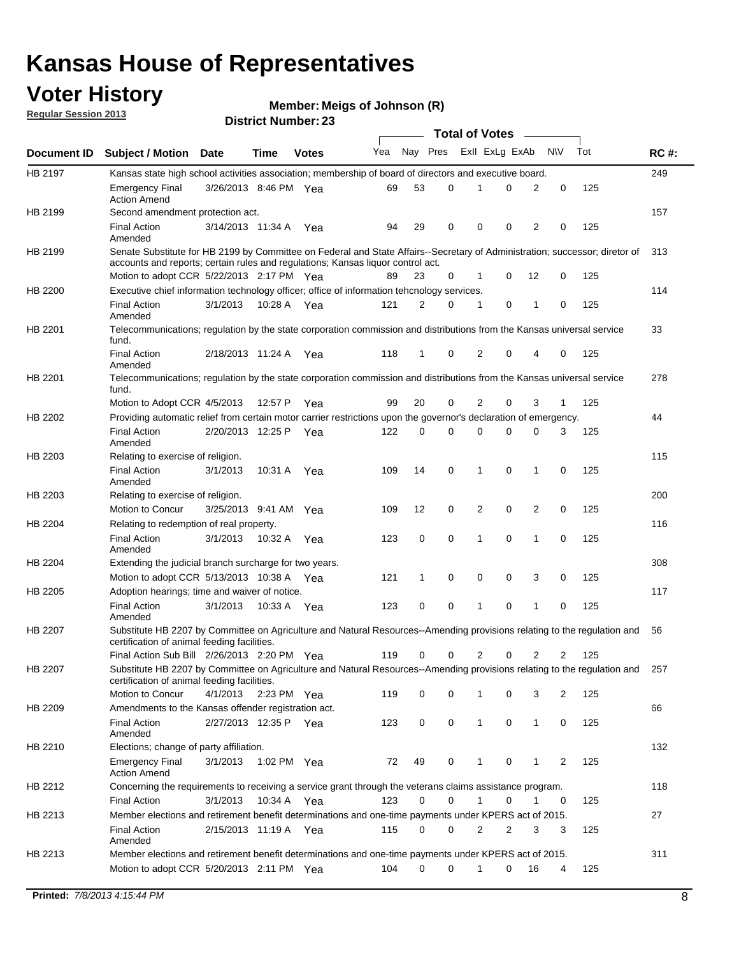## **Voter History**

**Member: Meigs of Johnson (R)** 

**Regular Session 2013**

|             |                                                                                                                                                                                                                |                       |             |              |     |              |          | <b>Total of Votes</b> |   |                |             |     |             |
|-------------|----------------------------------------------------------------------------------------------------------------------------------------------------------------------------------------------------------------|-----------------------|-------------|--------------|-----|--------------|----------|-----------------------|---|----------------|-------------|-----|-------------|
| Document ID | <b>Subject / Motion Date</b>                                                                                                                                                                                   |                       | Time        | <b>Votes</b> | Yea | Nay Pres     |          | Exll ExLg ExAb        |   |                | <b>NV</b>   | Tot | <b>RC#:</b> |
| HB 2197     | Kansas state high school activities association; membership of board of directors and executive board.                                                                                                         |                       |             |              |     |              |          |                       |   |                |             |     | 249         |
|             | <b>Emergency Final</b><br><b>Action Amend</b>                                                                                                                                                                  | 3/26/2013 8:46 PM Yea |             |              | 69  | 53           | 0        |                       | 0 | 2              | 0           | 125 |             |
| HB 2199     | Second amendment protection act.                                                                                                                                                                               |                       |             |              |     |              |          |                       |   |                |             |     | 157         |
|             | <b>Final Action</b><br>Amended                                                                                                                                                                                 | 3/14/2013 11:34 A     |             | Yea          | 94  | 29           | 0        | 0                     | 0 | 2              | 0           | 125 |             |
| HB 2199     | Senate Substitute for HB 2199 by Committee on Federal and State Affairs--Secretary of Administration; successor; diretor of<br>accounts and reports; certain rules and regulations; Kansas liguor control act. |                       |             |              |     |              |          |                       |   |                |             |     | 313         |
|             | Motion to adopt CCR 5/22/2013 2:17 PM Yea                                                                                                                                                                      |                       |             |              | 89  | 23           | 0        | 1                     | 0 | 12             | 0           | 125 |             |
| HB 2200     | Executive chief information technology officer; office of information tehcnology services.                                                                                                                     |                       |             |              |     |              |          |                       |   |                |             |     | 114         |
|             | <b>Final Action</b><br>Amended                                                                                                                                                                                 | 3/1/2013              | 10:28 A     | Yea          | 121 | 2            | 0        | 1                     | 0 | 1              | 0           | 125 |             |
| HB 2201     | Telecommunications; regulation by the state corporation commission and distributions from the Kansas universal service<br>fund.                                                                                |                       |             |              |     |              |          |                       |   |                |             |     | 33          |
|             | <b>Final Action</b><br>Amended                                                                                                                                                                                 | 2/18/2013 11:24 A     |             | Yea          | 118 | $\mathbf{1}$ | 0        | 2                     | 0 | 4              | 0           | 125 |             |
| HB 2201     | Telecommunications; regulation by the state corporation commission and distributions from the Kansas universal service<br>fund.                                                                                |                       |             |              |     |              |          |                       |   |                |             |     | 278         |
|             | Motion to Adopt CCR 4/5/2013                                                                                                                                                                                   |                       | 12:57 P     | Yea          | 99  | 20           | 0        | 2                     | 0 | 3              | 1           | 125 |             |
| HB 2202     | Providing automatic relief from certain motor carrier restrictions upon the governor's declaration of emergency.                                                                                               |                       |             |              |     |              |          |                       |   |                |             |     | 44          |
|             | <b>Final Action</b><br>Amended                                                                                                                                                                                 | 2/20/2013 12:25 P     |             | Yea          | 122 | 0            | 0        | 0                     | 0 | 0              | 3           | 125 |             |
| HB 2203     | Relating to exercise of religion.                                                                                                                                                                              |                       |             |              |     |              |          |                       |   |                |             |     | 115         |
|             | <b>Final Action</b><br>Amended                                                                                                                                                                                 | 3/1/2013              | 10:31 A Yea |              | 109 | 14           | 0        | 1                     | 0 | 1              | 0           | 125 |             |
| HB 2203     | Relating to exercise of religion.                                                                                                                                                                              |                       |             |              |     |              |          |                       |   |                |             |     | 200         |
|             | Motion to Concur                                                                                                                                                                                               | 3/25/2013 9:41 AM Yea |             |              | 109 | 12           | 0        | 2                     | 0 | $\overline{2}$ | 0           | 125 |             |
| HB 2204     | Relating to redemption of real property.                                                                                                                                                                       |                       |             |              |     |              |          |                       |   |                |             |     | 116         |
|             | <b>Final Action</b><br>Amended                                                                                                                                                                                 | 3/1/2013              | 10:32 A     | Yea          | 123 | 0            | 0        | 1                     | 0 | $\mathbf{1}$   | $\mathbf 0$ | 125 |             |
| HB 2204     | Extending the judicial branch surcharge for two years.                                                                                                                                                         |                       |             |              |     |              |          |                       |   |                |             |     | 308         |
|             | Motion to adopt CCR 5/13/2013 10:38 A Yea                                                                                                                                                                      |                       |             |              | 121 | 1            | 0        | 0                     | 0 | 3              | 0           | 125 |             |
| HB 2205     | Adoption hearings; time and waiver of notice.                                                                                                                                                                  |                       |             |              |     |              |          |                       |   |                |             |     | 117         |
|             | <b>Final Action</b><br>Amended                                                                                                                                                                                 | 3/1/2013              | 10:33 A Yea |              | 123 | 0            | 0        | 1                     | 0 | 1              | 0           | 125 |             |
| HB 2207     | Substitute HB 2207 by Committee on Agriculture and Natural Resources--Amending provisions relating to the regulation and<br>certification of animal feeding facilities.                                        |                       |             |              |     |              |          |                       |   |                |             |     | 56          |
|             | Final Action Sub Bill 2/26/2013 2:20 PM Yea                                                                                                                                                                    |                       |             |              | 119 | 0            | 0        | 2                     | 0 | 2              | 2           | 125 |             |
| HB 2207     | Substitute HB 2207 by Committee on Agriculture and Natural Resources--Amending provisions relating to the regulation and 257<br>certification of animal feeding facilities.                                    |                       |             |              |     |              |          |                       |   |                |             |     |             |
|             | Motion to Concur                                                                                                                                                                                               | 4/1/2013              | 2:23 PM Yea |              | 119 | 0            | 0        | 1                     | 0 | 3              | 2           | 125 |             |
| HB 2209     | Amendments to the Kansas offender registration act.<br><b>Final Action</b>                                                                                                                                     | 2/27/2013 12:35 P Yea |             |              | 123 | 0            | 0        | $\mathbf{1}$          | 0 | $\mathbf{1}$   | 0           | 125 | 66          |
|             | Amended                                                                                                                                                                                                        |                       |             |              |     |              |          |                       |   |                |             |     |             |
| HB 2210     | Elections; change of party affiliation.                                                                                                                                                                        |                       |             |              |     |              |          |                       |   |                |             |     | 132         |
|             | <b>Emergency Final</b><br><b>Action Amend</b>                                                                                                                                                                  | 3/1/2013              | 1:02 PM Yea |              | 72  | 49           | 0        | 1                     | 0 | 1              | 2           | 125 |             |
| HB 2212     | Concerning the requirements to receiving a service grant through the veterans claims assistance program.<br><b>Final Action</b>                                                                                | 3/1/2013              | 10:34 A Yea |              | 123 | 0            | 0        | $\mathbf{1}$          | 0 | 1              | 0           | 125 | 118         |
| HB 2213     | Member elections and retirement benefit determinations and one-time payments under KPERS act of 2015.                                                                                                          |                       |             |              |     |              |          |                       |   |                |             |     | 27          |
|             | <b>Final Action</b><br>Amended                                                                                                                                                                                 | 2/15/2013 11:19 A Yea |             |              | 115 | 0            | 0        | 2                     | 2 | 3              | 3           | 125 |             |
| HB 2213     | Member elections and retirement benefit determinations and one-time payments under KPERS act of 2015.                                                                                                          |                       |             |              |     |              |          |                       |   |                |             |     | 311         |
|             | Motion to adopt CCR 5/20/2013 2:11 PM Yea                                                                                                                                                                      |                       |             |              | 104 | $\Omega$     | $\Omega$ | $\mathbf 1$           | 0 | 16             | 4           | 125 |             |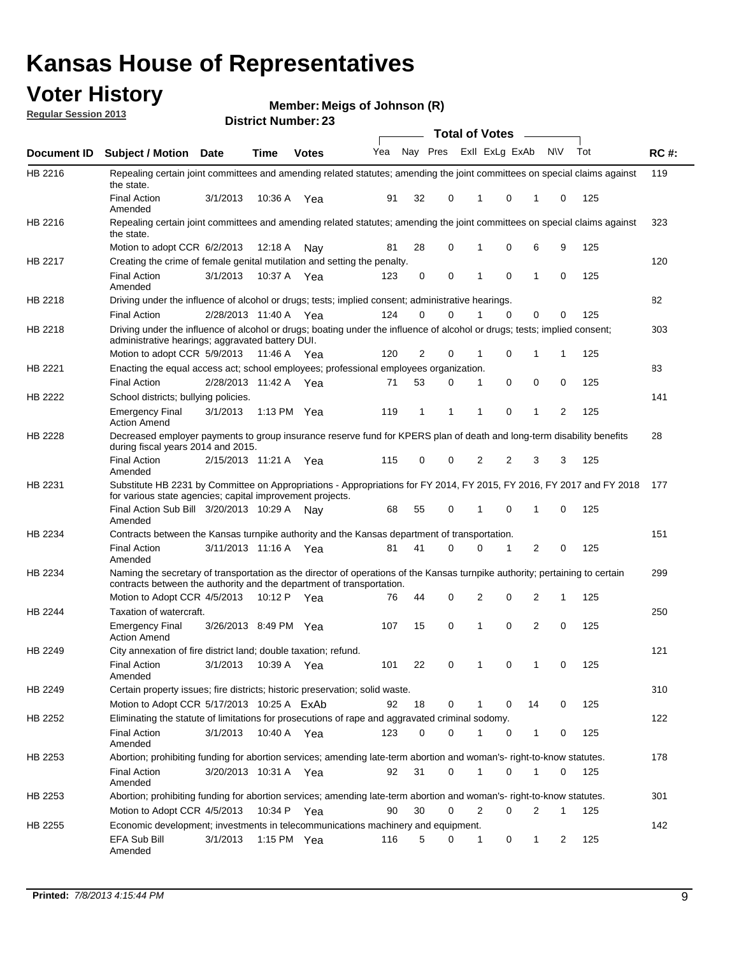## **Voter History**

**Member: Meigs of Johnson (R)** 

**Regular Session 2013**

|                |                                                                                                                                                                                                       |                       |             | DISTILITY MUILING LAS |     |                |   |          | Total of Votes – |    |           |     |             |
|----------------|-------------------------------------------------------------------------------------------------------------------------------------------------------------------------------------------------------|-----------------------|-------------|-----------------------|-----|----------------|---|----------|------------------|----|-----------|-----|-------------|
| Document ID    | <b>Subject / Motion Date</b>                                                                                                                                                                          |                       | <b>Time</b> | <b>Votes</b>          | Yea | Nay Pres       |   |          | Exll ExLg ExAb   |    | <b>NV</b> | Tot | <b>RC#:</b> |
| HB 2216        | Repealing certain joint committees and amending related statutes; amending the joint committees on special claims against<br>the state.                                                               |                       |             |                       |     |                |   |          |                  |    |           |     | 119         |
|                | <b>Final Action</b><br>Amended                                                                                                                                                                        | 3/1/2013              | 10:36 A     | Yea                   | 91  | 32             | 0 | 1        | 0                | 1  | 0         | 125 |             |
| HB 2216        | Repealing certain joint committees and amending related statutes; amending the joint committees on special claims against<br>the state.                                                               |                       |             |                       |     |                |   |          |                  |    |           |     | 323         |
|                | Motion to adopt CCR 6/2/2013                                                                                                                                                                          |                       | 12:18 A     | Nav                   | 81  | 28             | 0 | 1        | 0                | 6  | 9         | 125 |             |
| HB 2217        | Creating the crime of female genital mutilation and setting the penalty.                                                                                                                              |                       |             |                       |     |                |   |          |                  |    |           |     | 120         |
|                | <b>Final Action</b><br>Amended                                                                                                                                                                        | 3/1/2013              |             | 10:37 A Yea           | 123 | 0              | 0 | 1        | 0                | 1  | 0         | 125 |             |
| HB 2218        | Driving under the influence of alcohol or drugs; tests; implied consent; administrative hearings.                                                                                                     |                       |             |                       |     |                |   |          |                  |    |           |     | 82          |
|                | <b>Final Action</b>                                                                                                                                                                                   | 2/28/2013 11:40 A     |             | Yea                   | 124 | 0              | 0 |          | $\Omega$         | 0  | 0         | 125 |             |
| HB 2218        | Driving under the influence of alcohol or drugs; boating under the influence of alcohol or drugs; tests; implied consent;<br>administrative hearings; aggravated battery DUI.                         |                       |             |                       |     |                |   |          |                  |    |           |     | 303         |
|                | Motion to adopt CCR 5/9/2013                                                                                                                                                                          |                       | 11:46 A     | Yea                   | 120 | $\overline{2}$ | 0 | 1        | 0                | 1  | 1         | 125 |             |
| HB 2221        | Enacting the equal access act; school employees; professional employees organization.                                                                                                                 |                       |             |                       |     |                |   |          |                  |    |           |     | 83          |
|                | <b>Final Action</b>                                                                                                                                                                                   | 2/28/2013 11:42 A     |             | Yea                   | 71  | 53             | 0 | 1        | 0                | 0  | 0         | 125 |             |
| HB 2222        | School districts; bullying policies.                                                                                                                                                                  |                       |             |                       |     |                |   |          |                  |    |           |     | 141         |
|                | <b>Emergency Final</b><br><b>Action Amend</b>                                                                                                                                                         | 3/1/2013              |             | 1:13 PM $Yea$         | 119 | 1              | 1 | 1        | 0                | 1  | 2         | 125 |             |
| HB 2228        | Decreased employer payments to group insurance reserve fund for KPERS plan of death and long-term disability benefits<br>during fiscal years 2014 and 2015.                                           |                       |             |                       |     |                |   |          |                  |    |           |     | 28          |
|                | <b>Final Action</b><br>Amended                                                                                                                                                                        | 2/15/2013 11:21 A     |             | Yea                   | 115 | 0              | 0 | 2        | 2                | 3  | 3         | 125 |             |
| HB 2231        | Substitute HB 2231 by Committee on Appropriations - Appropriations for FY 2014, FY 2015, FY 2016, FY 2017 and FY 2018<br>for various state agencies; capital improvement projects.                    |                       |             |                       |     |                |   |          |                  |    |           |     | 177         |
|                | Final Action Sub Bill 3/20/2013 10:29 A<br>Amended                                                                                                                                                    |                       |             | Nav                   | 68  | 55             | 0 |          | 0                | 1  | 0         | 125 |             |
| HB 2234        | Contracts between the Kansas turnpike authority and the Kansas department of transportation.                                                                                                          |                       |             |                       |     |                |   |          |                  |    |           |     | 151         |
|                | <b>Final Action</b><br>Amended                                                                                                                                                                        | 3/11/2013 11:16 A Yea |             |                       | 81  | 41             | 0 | $\Omega$ | 1                | 2  | 0         | 125 |             |
| HB 2234        | Naming the secretary of transportation as the director of operations of the Kansas turnpike authority; pertaining to certain<br>contracts between the authority and the department of transportation. |                       |             |                       |     |                |   |          |                  |    |           |     | 299         |
|                | Motion to Adopt CCR 4/5/2013                                                                                                                                                                          |                       | 10:12 P     | Yea                   | 76  | 44             | 0 | 2        | 0                | 2  | 1         | 125 |             |
| <b>HB 2244</b> | Taxation of watercraft.<br><b>Emergency Final</b>                                                                                                                                                     | 3/26/2013 8:49 PM Yea |             |                       | 107 | 15             | 0 | 1        | 0                | 2  | 0         | 125 | 250         |
|                | <b>Action Amend</b>                                                                                                                                                                                   |                       |             |                       |     |                |   |          |                  |    |           |     |             |
| HB 2249        | City annexation of fire district land; double taxation; refund.                                                                                                                                       |                       |             |                       |     |                |   |          |                  |    |           |     | 121         |
|                | Final Action 3/1/2013 10:39 A Yea<br>Amended                                                                                                                                                          |                       |             |                       | 101 | 22             | 0 |          | $\mathbf 0$      |    |           | 125 |             |
| HB 2249        | Certain property issues; fire districts; historic preservation; solid waste.                                                                                                                          |                       |             |                       |     |                |   |          |                  |    |           |     | 310         |
|                | Motion to Adopt CCR 5/17/2013 10:25 A ExAb                                                                                                                                                            |                       |             |                       | 92  | 18             | 0 | 1        | 0                | 14 | 0         | 125 |             |
| HB 2252        |                                                                                                                                                                                                       |                       |             |                       |     |                |   |          |                  |    |           |     | 122         |
|                | Eliminating the statute of limitations for prosecutions of rape and aggravated criminal sodomy.<br><b>Final Action</b>                                                                                |                       |             |                       |     | 0              | 0 |          |                  |    |           |     |             |
|                | Amended                                                                                                                                                                                               | 3/1/2013              |             | 10:40 A Yea           | 123 |                |   |          | 0                | 1  | 0         | 125 |             |
| HB 2253        | Abortion; prohibiting funding for abortion services; amending late-term abortion and woman's- right-to-know statutes.                                                                                 |                       |             |                       |     |                |   |          |                  |    |           |     | 178         |
|                | <b>Final Action</b><br>Amended                                                                                                                                                                        | 3/20/2013 10:31 A Yea |             |                       | 92  | 31             | 0 | 1        | 0                | 1  | 0         | 125 |             |
| HB 2253        | Abortion; prohibiting funding for abortion services; amending late-term abortion and woman's- right-to-know statutes.                                                                                 |                       |             |                       |     |                |   |          |                  |    |           |     | 301         |
|                | Motion to Adopt CCR 4/5/2013                                                                                                                                                                          |                       |             | 10:34 P Yea           | 90  | 30             | 0 | 2        | 0                | 2  | 1         | 125 |             |
| HB 2255        | Economic development; investments in telecommunications machinery and equipment.                                                                                                                      |                       |             |                       |     |                |   |          |                  |    |           |     | 142         |
|                | EFA Sub Bill<br>Amended                                                                                                                                                                               | 3/1/2013              |             | 1:15 PM Yea           | 116 | 5              | 0 | 1        | 0                | 1  | 2         | 125 |             |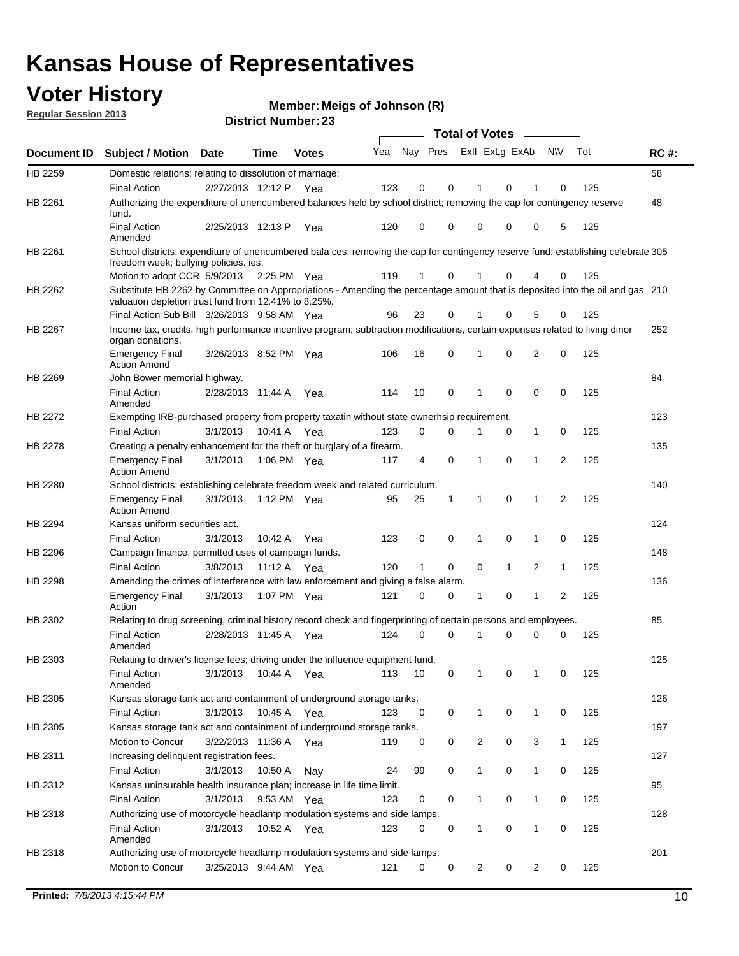## **Voter History**

**Member: Meigs of Johnson (R)** 

**Regular Session 2013**

|                    |                                                                                                                                                                                       |                       |                       | <b>DISUILLINUIIIDEL.</b> |     |          |          | Total of Votes – |   |              |                |     |             |
|--------------------|---------------------------------------------------------------------------------------------------------------------------------------------------------------------------------------|-----------------------|-----------------------|--------------------------|-----|----------|----------|------------------|---|--------------|----------------|-----|-------------|
| <b>Document ID</b> | <b>Subject / Motion</b>                                                                                                                                                               | <b>Date</b>           | Time                  | <b>Votes</b>             | Yea | Nay Pres |          | Exll ExLg ExAb   |   |              | <b>NV</b>      | Tot | <b>RC#:</b> |
| HB 2259            | Domestic relations; relating to dissolution of marriage;                                                                                                                              |                       |                       |                          |     |          |          |                  |   |              |                |     | 58          |
|                    | <b>Final Action</b>                                                                                                                                                                   | 2/27/2013 12:12 P     |                       | Yea                      | 123 | 0        | 0        | 1                | 0 | 1            | 0              | 125 |             |
| HB 2261            | Authorizing the expenditure of unencumbered balances held by school district; removing the cap for contingency reserve<br>fund.                                                       |                       |                       |                          |     |          |          |                  |   |              |                |     | 48          |
|                    | <b>Final Action</b><br>Amended                                                                                                                                                        | 2/25/2013 12:13 P     |                       | Yea                      | 120 | 0        | 0        | 0                | 0 | 0            | 5              | 125 |             |
| HB 2261            | School districts; expenditure of unencumbered bala ces; removing the cap for contingency reserve fund; establishing celebrate 305<br>freedom week; bullying policies. ies.            |                       |                       |                          |     |          |          |                  |   |              |                |     |             |
|                    | Motion to adopt CCR 5/9/2013                                                                                                                                                          |                       | $2:25 \text{ PM}$ Yea |                          | 119 | 1        | 0        |                  | 0 | 4            | 0              | 125 |             |
| HB 2262            | Substitute HB 2262 by Committee on Appropriations - Amending the percentage amount that is deposited into the oil and gas 210<br>valuation depletion trust fund from 12.41% to 8.25%. |                       |                       |                          |     |          |          |                  |   |              |                |     |             |
|                    | Final Action Sub Bill 3/26/2013 9:58 AM Yea                                                                                                                                           |                       |                       |                          | 96  | 23       | 0        |                  | 0 | 5            | 0              | 125 |             |
| HB 2267            | Income tax, credits, high performance incentive program; subtraction modifications, certain expenses related to living dinor<br>organ donations.                                      |                       |                       |                          |     |          |          |                  |   |              |                |     | 252         |
|                    | <b>Emergency Final</b><br><b>Action Amend</b>                                                                                                                                         | 3/26/2013 8:52 PM Yea |                       |                          | 106 | 16       | 0        | 1                | 0 | 2            | 0              | 125 |             |
| HB 2269            | John Bower memorial highway.                                                                                                                                                          |                       |                       |                          |     |          |          |                  |   |              |                |     | 84          |
|                    | <b>Final Action</b><br>Amended                                                                                                                                                        | 2/28/2013 11:44 A     |                       | Yea                      | 114 | 10       | 0        | 1                | 0 | 0            | 0              | 125 |             |
| HB 2272            | Exempting IRB-purchased property from property taxatin without state ownerhsip requirement.                                                                                           |                       |                       |                          |     |          |          |                  |   |              |                |     | 123         |
|                    | <b>Final Action</b>                                                                                                                                                                   | 3/1/2013              | 10:41 A               | Yea                      | 123 | 0        | 0        | 1                | 0 | $\mathbf{1}$ | 0              | 125 |             |
| HB 2278            | Creating a penalty enhancement for the theft or burglary of a firearm.                                                                                                                |                       |                       |                          |     |          |          |                  |   |              |                |     | 135         |
|                    | <b>Emergency Final</b><br><b>Action Amend</b>                                                                                                                                         | 3/1/2013              | 1:06 PM Yea           |                          | 117 | 4        | 0        | 1                | 0 | 1            | $\overline{2}$ | 125 |             |
| HB 2280            | School districts; establishing celebrate freedom week and related curriculum.                                                                                                         |                       |                       |                          |     |          |          |                  |   |              |                |     | 140         |
|                    | <b>Emergency Final</b><br><b>Action Amend</b>                                                                                                                                         | 3/1/2013              | 1:12 PM Yea           |                          | 95  | 25       | 1        | 1                | 0 | 1            | 2              | 125 |             |
| HB 2294            | Kansas uniform securities act.                                                                                                                                                        |                       |                       |                          |     |          |          |                  |   |              |                |     | 124         |
|                    | <b>Final Action</b>                                                                                                                                                                   | 3/1/2013              | 10:42 A               | Yea                      | 123 | 0        | 0        | 1                | 0 | 1            | 0              | 125 |             |
| HB 2296            | Campaign finance; permitted uses of campaign funds.                                                                                                                                   |                       |                       |                          |     |          |          |                  |   |              |                |     | 148         |
|                    | <b>Final Action</b>                                                                                                                                                                   | 3/8/2013              | 11:12 A               | Yea                      | 120 | 1        | 0        | 0                | 1 | 2            | $\mathbf{1}$   | 125 |             |
| HB 2298            | Amending the crimes of interference with law enforcement and giving a false alarm.                                                                                                    |                       |                       |                          |     |          |          |                  |   |              |                |     | 136         |
|                    | <b>Emergency Final</b><br>Action                                                                                                                                                      | 3/1/2013              | 1:07 PM Yea           |                          | 121 | 0        | 0        | 1                | 0 | 1            | 2              | 125 |             |
| HB 2302            | Relating to drug screening, criminal history record check and fingerprinting of certain persons and employees.                                                                        |                       |                       |                          |     |          |          |                  |   |              |                |     | 85          |
|                    | Final Action<br>Amended                                                                                                                                                               | 2/28/2013 11:45 A Yea |                       |                          | 124 | $\Omega$ | $\Omega$ | 1                | 0 | 0            | 0              | 125 |             |
| HB 2303            | Relating to drivier's license fees; driving under the influence equipment fund.                                                                                                       |                       |                       |                          |     |          |          |                  |   |              |                |     | 125         |
|                    | <b>Final Action</b><br>Amended                                                                                                                                                        | 3/1/2013              | 10:44 A               | Yea                      | 113 | 10       | 0        |                  | 0 |              | 0              | 125 |             |
| HB 2305            | Kansas storage tank act and containment of underground storage tanks.                                                                                                                 |                       |                       |                          |     |          |          |                  |   |              |                |     | 126         |
|                    | <b>Final Action</b>                                                                                                                                                                   | 3/1/2013              | 10:45 A               | Yea                      | 123 | 0        | 0        | 1                | 0 | $\mathbf{1}$ | 0              | 125 |             |
| HB 2305            | Kansas storage tank act and containment of underground storage tanks.                                                                                                                 |                       |                       |                          |     |          |          |                  |   |              |                |     | 197         |
|                    | Motion to Concur                                                                                                                                                                      | 3/22/2013 11:36 A     |                       | Yea                      | 119 | 0        | 0        | $\overline{c}$   | 0 | 3            | $\mathbf{1}$   | 125 |             |
| HB 2311            | Increasing delinquent registration fees.                                                                                                                                              |                       |                       |                          |     |          |          |                  |   |              |                |     | 127         |
|                    | <b>Final Action</b>                                                                                                                                                                   | 3/1/2013              | 10:50 A               | Nay                      | 24  | 99       | 0        | 1                | 0 | $\mathbf{1}$ | 0              | 125 |             |
| HB 2312            | Kansas uninsurable health insurance plan; increase in life time limit.                                                                                                                |                       |                       |                          |     |          |          |                  |   |              |                |     | 95          |
|                    | <b>Final Action</b>                                                                                                                                                                   | 3/1/2013              | 9:53 AM Yea           |                          | 123 | 0        | 0        | 1                | 0 | $\mathbf{1}$ | 0              | 125 |             |
| HB 2318            | Authorizing use of motorcycle headlamp modulation systems and side lamps.                                                                                                             |                       |                       |                          |     |          |          |                  |   |              |                |     | 128         |
|                    | <b>Final Action</b><br>Amended                                                                                                                                                        | 3/1/2013              | 10:52 A               | Yea                      | 123 | 0        | 0        | 1                | 0 | 1            | 0              | 125 |             |
| HB 2318            | Authorizing use of motorcycle headlamp modulation systems and side lamps.                                                                                                             |                       |                       |                          |     |          |          |                  |   |              |                |     | 201         |
|                    | Motion to Concur                                                                                                                                                                      | 3/25/2013 9:44 AM Yea |                       |                          | 121 | 0        | 0        | 2                | 0 | 2            | 0              | 125 |             |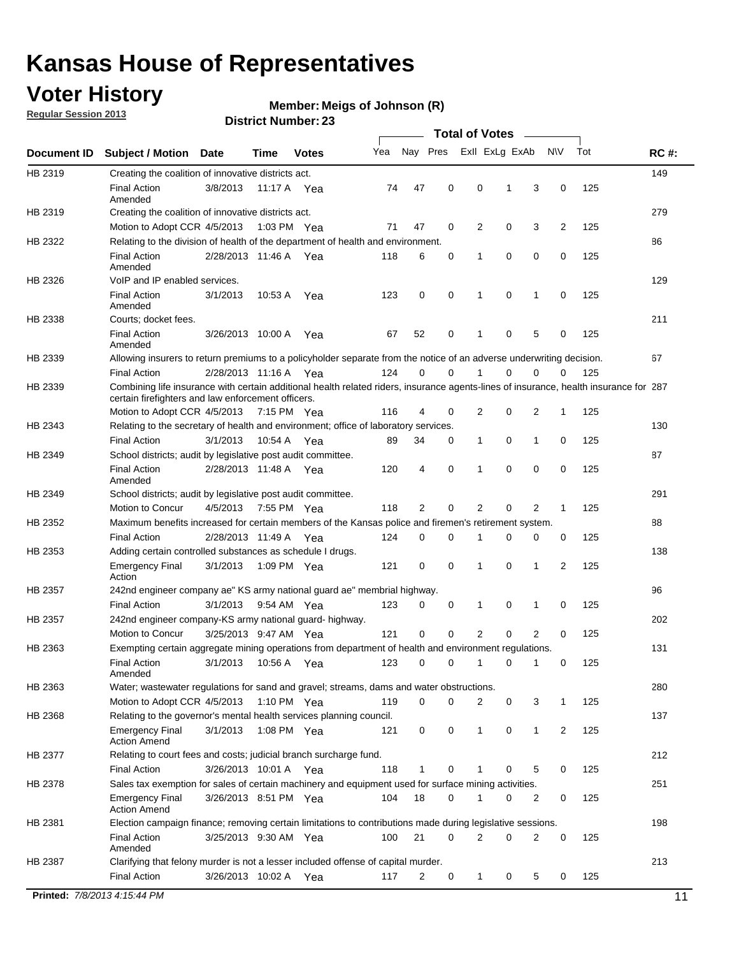## **Voter History**

**Member: Meigs of Johnson (R)** 

**Regular Session 2013**

#### **District Number: 23**

|             |                                                                     |                       |             |              |                                                                                                                                       |                     | <b>Total of Votes</b> |             |                |              |     |             |
|-------------|---------------------------------------------------------------------|-----------------------|-------------|--------------|---------------------------------------------------------------------------------------------------------------------------------------|---------------------|-----------------------|-------------|----------------|--------------|-----|-------------|
| Document ID | <b>Subject / Motion</b>                                             | <b>Date</b>           | Time        | <b>Votes</b> | Yea                                                                                                                                   | Nay Pres            | Exll ExLg ExAb        |             |                | <b>NV</b>    | Tot | <b>RC#:</b> |
| HB 2319     | Creating the coalition of innovative districts act.                 |                       |             |              |                                                                                                                                       |                     |                       |             |                |              |     | 149         |
|             | <b>Final Action</b><br>Amended                                      | 3/8/2013              |             | 11:17 A Yea  | 74                                                                                                                                    | 47<br>0             | 0                     | 1           | 3              | 0            | 125 |             |
| HB 2319     | Creating the coalition of innovative districts act.                 |                       |             |              |                                                                                                                                       |                     |                       |             |                |              |     | 279         |
|             | Motion to Adopt CCR 4/5/2013                                        |                       |             | 1:03 PM Yea  | 71                                                                                                                                    | 47<br>0             | 2                     | 0           | 3              | 2            | 125 |             |
| HB 2322     |                                                                     |                       |             |              | Relating to the division of health of the department of health and environment.                                                       |                     |                       |             |                |              |     | 86          |
|             | <b>Final Action</b><br>Amended                                      | 2/28/2013 11:46 A Yea |             |              | 118                                                                                                                                   | 0<br>6              | 1                     | 0           | 0              | 0            | 125 |             |
| HB 2326     | VoIP and IP enabled services.                                       |                       |             |              |                                                                                                                                       |                     |                       |             |                |              |     | 129         |
|             | <b>Final Action</b><br>Amended                                      | 3/1/2013              | 10:53 A     | Yea          | 123                                                                                                                                   | 0<br>0              | 1                     | $\mathbf 0$ | 1              | 0            | 125 |             |
| HB 2338     | Courts; docket fees.                                                |                       |             |              |                                                                                                                                       |                     |                       |             |                |              |     | 211         |
|             | <b>Final Action</b><br>Amended                                      | 3/26/2013 10:00 A     |             | Yea          | 67                                                                                                                                    | 0<br>52             | 1                     | 0           | 5              | 0            | 125 |             |
| HB 2339     |                                                                     |                       |             |              | Allowing insurers to return premiums to a policyholder separate from the notice of an adverse underwriting decision.                  |                     |                       |             |                |              |     | 67          |
|             | <b>Final Action</b>                                                 | 2/28/2013 11:16 A Yea |             |              | 124                                                                                                                                   | 0<br>0              | 1                     | 0           | 0              | 0            | 125 |             |
| HB 2339     | certain firefighters and law enforcement officers.                  |                       |             |              | Combining life insurance with certain additional health related riders, insurance agents-lines of insurance, health insurance for 287 |                     |                       |             |                |              |     |             |
|             | Motion to Adopt CCR 4/5/2013 7:15 PM Yea                            |                       |             |              | 116                                                                                                                                   | 4<br>0              | 2                     | 0           | 2              | 1            | 125 |             |
| HB 2343     |                                                                     |                       |             |              | Relating to the secretary of health and environment; office of laboratory services.                                                   |                     |                       |             |                |              |     | 130         |
|             | <b>Final Action</b>                                                 | 3/1/2013              | 10:54 A Yea |              | 89                                                                                                                                    | 34<br>0             | 1                     | 0           | 1              | 0            | 125 |             |
| HB 2349     | School districts; audit by legislative post audit committee.        |                       |             |              |                                                                                                                                       |                     |                       |             |                |              |     | 87          |
|             | <b>Final Action</b><br>Amended                                      | 2/28/2013 11:48 A Yea |             |              | 120                                                                                                                                   | 0<br>$\overline{4}$ | 1                     | 0           | 0              | $\mathbf 0$  | 125 |             |
| HB 2349     | School districts; audit by legislative post audit committee.        |                       |             |              |                                                                                                                                       |                     |                       |             |                |              |     | 291         |
|             | Motion to Concur                                                    | 4/5/2013              |             | 7:55 PM Yea  | 118                                                                                                                                   | 2<br>0              | 2                     | 0           | 2              | $\mathbf{1}$ | 125 |             |
| HB 2352     |                                                                     |                       |             |              | Maximum benefits increased for certain members of the Kansas police and firemen's retirement system.                                  |                     |                       |             |                |              |     | 88          |
|             | <b>Final Action</b>                                                 | 2/28/2013 11:49 A     |             | Yea          | 124                                                                                                                                   | 0<br>0              | 1                     | 0           | 0              | 0            | 125 |             |
| HB 2353     | Adding certain controlled substances as schedule I drugs.           |                       |             |              |                                                                                                                                       |                     |                       |             |                |              |     | 138         |
|             | <b>Emergency Final</b><br>Action                                    | 3/1/2013              |             | 1:09 PM Yea  | 121                                                                                                                                   | 0<br>0              | 1                     | 0           | 1              | 2            | 125 |             |
| HB 2357     |                                                                     |                       |             |              | 242nd engineer company ae" KS army national guard ae" membrial highway.                                                               |                     |                       |             |                |              |     | 96          |
|             | <b>Final Action</b>                                                 | 3/1/2013              |             | 9:54 AM Yea  | 123                                                                                                                                   | 0<br>0              | 1                     | 0           | 1              | 0            | 125 |             |
| HB 2357     | 242nd engineer company-KS army national guard- highway.             |                       |             |              |                                                                                                                                       |                     |                       |             |                |              |     | 202         |
|             | Motion to Concur                                                    | 3/25/2013 9:47 AM Yea |             |              | 121                                                                                                                                   | $\mathbf 0$<br>0    | 2                     | 0           | $\overline{2}$ | 0            | 125 |             |
| HB 2363     |                                                                     |                       |             |              | Exempting certain aggregate mining operations from department of health and environment regulations.                                  |                     |                       |             |                |              |     | 131         |
|             | <b>Final Action</b><br>Amended                                      | 3/1/2013              |             | 10:56 A Yea  | 123                                                                                                                                   | 0<br>0              | $\mathbf{1}$          | 0           | 1              | 0            | 125 |             |
| HB 2363     |                                                                     |                       |             |              | Water; wastewater regulations for sand and gravel; streams, dams and water obstructions.                                              |                     |                       |             |                |              |     | 280         |
|             | Motion to Adopt CCR 4/5/2013                                        |                       |             | 1:10 PM Yea  | 119                                                                                                                                   | 0<br>0              | 2                     | 0           | 3              | 1            | 125 |             |
| HB 2368     | Relating to the governor's mental health services planning council. |                       |             |              |                                                                                                                                       |                     |                       |             |                |              |     | 137         |
|             | <b>Emergency Final</b><br><b>Action Amend</b>                       | 3/1/2013              |             | 1:08 PM Yea  | 121                                                                                                                                   | 0<br>0              | 1                     | 0           | 1              | 2            | 125 |             |
| HB 2377     | Relating to court fees and costs; judicial branch surcharge fund.   |                       |             |              |                                                                                                                                       |                     |                       |             |                |              |     | 212         |
|             | <b>Final Action</b>                                                 | 3/26/2013 10:01 A Yea |             |              | 118                                                                                                                                   | 0<br>1              | 1                     | 0           | 5              | 0            | 125 |             |
| HB 2378     |                                                                     |                       |             |              | Sales tax exemption for sales of certain machinery and equipment used for surface mining activities.                                  |                     |                       |             |                |              |     | 251         |
|             | <b>Emergency Final</b><br><b>Action Amend</b>                       | 3/26/2013 8:51 PM Yea |             |              | 104                                                                                                                                   | 18<br>0             | 1                     | 0           | 2              | 0            | 125 |             |
| HB 2381     |                                                                     |                       |             |              | Election campaign finance; removing certain limitations to contributions made during legislative sessions.                            |                     |                       |             |                |              |     | 198         |
|             | <b>Final Action</b><br>Amended                                      | 3/25/2013 9:30 AM Yea |             |              | 100                                                                                                                                   | 21<br>0             | 2                     | 0           | $\overline{2}$ | 0            | 125 |             |
| HB 2387     |                                                                     |                       |             |              | Clarifying that felony murder is not a lesser included offense of capital murder.                                                     |                     |                       |             |                |              |     | 213         |
|             | <b>Final Action</b>                                                 | 3/26/2013 10:02 A Yea |             |              | 117                                                                                                                                   | 2<br>0              | $\mathbf{1}$          | 0           | 5              | 0            | 125 |             |

**Printed:** *7/8/2013 4:15:44 PM* 11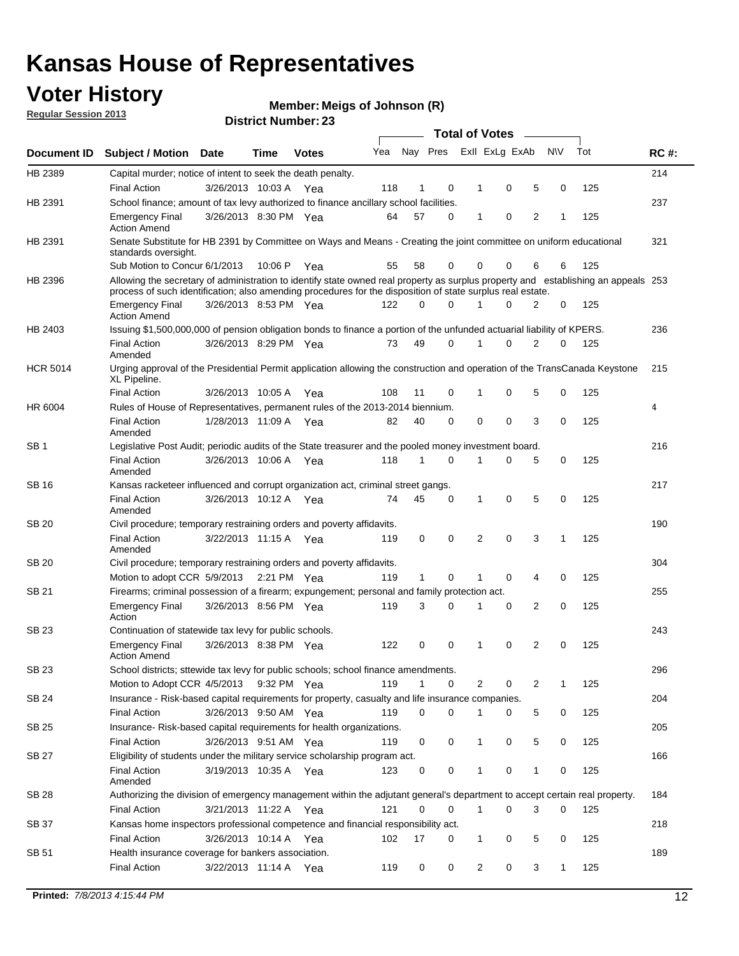## **Voter History**

**Member: Meigs of Johnson (R)** 

**Regular Session 2013**

|                 |                                                                                                                                                                                                                                                  |                       |         | PIJUIVI INUIIIVUI . 4J |     |              |             |              | <b>Total of Votes</b> | $\sim$         |           |     |             |
|-----------------|--------------------------------------------------------------------------------------------------------------------------------------------------------------------------------------------------------------------------------------------------|-----------------------|---------|------------------------|-----|--------------|-------------|--------------|-----------------------|----------------|-----------|-----|-------------|
| Document ID     | <b>Subject / Motion Date</b>                                                                                                                                                                                                                     |                       | Time    | <b>Votes</b>           | Yea | Nay Pres     |             |              | Exll ExLg ExAb        |                | <b>NV</b> | Tot | <b>RC#:</b> |
| HB 2389         | Capital murder; notice of intent to seek the death penalty.                                                                                                                                                                                      |                       |         |                        |     |              |             |              |                       |                |           |     | 214         |
|                 | <b>Final Action</b>                                                                                                                                                                                                                              | 3/26/2013 10:03 A Yea |         |                        | 118 | 1            | 0           | 1            | 0                     | 5              | 0         | 125 |             |
| HB 2391         | School finance; amount of tax levy authorized to finance ancillary school facilities.                                                                                                                                                            |                       |         |                        |     |              |             |              |                       |                |           |     | 237         |
|                 | <b>Emergency Final</b><br><b>Action Amend</b>                                                                                                                                                                                                    | 3/26/2013 8:30 PM Yea |         |                        | 64  | 57           | $\Omega$    | 1            | 0                     | $\overline{2}$ | 1         | 125 |             |
| HB 2391         | Senate Substitute for HB 2391 by Committee on Ways and Means - Creating the joint committee on uniform educational<br>standards oversight.                                                                                                       |                       |         |                        |     |              |             |              |                       |                |           |     | 321         |
|                 | Sub Motion to Concur 6/1/2013                                                                                                                                                                                                                    |                       | 10:06 P | Yea                    | 55  | 58           | 0           |              | 0<br>0                | 6              | 6         | 125 |             |
| HB 2396         | Allowing the secretary of administration to identify state owned real property as surplus property and establishing an appeals 253<br>process of such identification; also amending procedures for the disposition of state surplus real estate. |                       |         |                        |     |              |             |              |                       |                |           |     |             |
|                 | <b>Emergency Final</b><br><b>Action Amend</b>                                                                                                                                                                                                    | 3/26/2013 8:53 PM Yea |         |                        | 122 | 0            | $\Omega$    |              | 0                     | 2              | 0         | 125 |             |
| HB 2403         | Issuing \$1,500,000,000 of pension obligation bonds to finance a portion of the unfunded actuarial liability of KPERS.                                                                                                                           |                       |         |                        |     |              |             |              |                       |                |           |     | 236         |
|                 | <b>Final Action</b><br>Amended                                                                                                                                                                                                                   | 3/26/2013 8:29 PM Yea |         |                        | 73  | 49           | 0           | 1            | 0                     | 2              | 0         | 125 |             |
| <b>HCR 5014</b> | Urging approval of the Presidential Permit application allowing the construction and operation of the TransCanada Keystone<br>XL Pipeline.                                                                                                       |                       |         |                        |     |              |             |              |                       |                |           |     | 215         |
|                 | <b>Final Action</b>                                                                                                                                                                                                                              | 3/26/2013 10:05 A     |         | Yea                    | 108 | 11           | 0           |              | 0<br>1                | 5              | 0         | 125 |             |
| HR 6004         | Rules of House of Representatives, permanent rules of the 2013-2014 biennium.                                                                                                                                                                    |                       |         |                        |     |              |             |              |                       |                |           |     | 4           |
|                 | <b>Final Action</b><br>Amended                                                                                                                                                                                                                   | 1/28/2013 11:09 A Yea |         |                        | 82  | 40           | $\Omega$    |              | 0<br>0                | 3              | 0         | 125 |             |
| SB <sub>1</sub> | Legislative Post Audit; periodic audits of the State treasurer and the pooled money investment board.                                                                                                                                            |                       |         |                        |     |              |             |              |                       |                |           |     | 216         |
|                 | <b>Final Action</b><br>Amended                                                                                                                                                                                                                   | 3/26/2013 10:06 A     |         | Yea                    | 118 | 1            | $\Omega$    | 1            | 0                     | 5              | 0         | 125 |             |
| SB 16           | Kansas racketeer influenced and corrupt organization act, criminal street gangs.                                                                                                                                                                 |                       |         |                        |     |              |             |              |                       |                |           |     | 217         |
|                 | <b>Final Action</b><br>Amended                                                                                                                                                                                                                   | 3/26/2013 10:12 A Yea |         |                        | 74  | 45           | 0           | 1            | 0                     | 5              | 0         | 125 |             |
| <b>SB 20</b>    | Civil procedure; temporary restraining orders and poverty affidavits.                                                                                                                                                                            |                       |         |                        |     |              |             |              |                       |                |           |     | 190         |
|                 | <b>Final Action</b><br>Amended                                                                                                                                                                                                                   | 3/22/2013 11:15 A     |         | Yea                    | 119 | 0            | 0           |              | $\Omega$<br>2         | 3              | 1         | 125 |             |
| SB 20           | Civil procedure; temporary restraining orders and poverty affidavits.                                                                                                                                                                            |                       |         |                        |     |              |             |              |                       |                |           |     | 304         |
|                 | Motion to adopt CCR 5/9/2013                                                                                                                                                                                                                     |                       |         | 2:21 PM Yea            | 119 | $\mathbf{1}$ | 0           |              | 0<br>1                | 4              | 0         | 125 |             |
| <b>SB 21</b>    | Firearms; criminal possession of a firearm; expungement; personal and family protection act.                                                                                                                                                     |                       |         |                        |     |              |             |              |                       |                |           |     | 255         |
|                 | <b>Emergency Final</b><br>Action                                                                                                                                                                                                                 | 3/26/2013 8:56 PM Yea |         |                        | 119 | 3            | $\Omega$    | 1            | 0                     | 2              | 0         | 125 |             |
| <b>SB 23</b>    | Continuation of statewide tax levy for public schools.                                                                                                                                                                                           |                       |         |                        |     |              |             |              |                       |                |           |     | 243         |
|                 | <b>Emergency Final</b><br><b>Action Amend</b>                                                                                                                                                                                                    | 3/26/2013 8:38 PM Yea |         |                        | 122 | 0            | 0           | 1            | 0                     | 2              | 0         | 125 |             |
| SB 23           | School districts; sttewide tax levy for public schools; school finance amendments.                                                                                                                                                               |                       |         |                        |     |              |             |              |                       |                |           |     | 296         |
|                 | Motion to Adopt CCR 4/5/2013                                                                                                                                                                                                                     |                       |         | 9:32 PM Yea            | 119 | 1            | 0           |              | 2<br>0                | 2              | 1         | 125 |             |
| <b>SB 24</b>    | Insurance - Risk-based capital requirements for property, casualty and life insurance companies.                                                                                                                                                 |                       |         |                        |     |              |             |              |                       |                |           |     | 204         |
|                 | Final Action                                                                                                                                                                                                                                     | 3/26/2013 9:50 AM Yea |         |                        | 119 | 0            | 0           | 1            | 0                     | 5              | 0         | 125 |             |
| <b>SB 25</b>    | Insurance-Risk-based capital requirements for health organizations.                                                                                                                                                                              |                       |         |                        |     |              |             |              |                       |                |           |     | 205         |
|                 | Final Action                                                                                                                                                                                                                                     | 3/26/2013 9:51 AM Yea |         |                        | 119 | 0            | 0           | 1            | 0                     | 5              | 0         | 125 |             |
| <b>SB 27</b>    | Eligibility of students under the military service scholarship program act.                                                                                                                                                                      |                       |         |                        |     |              |             |              |                       |                |           |     | 166         |
|                 | <b>Final Action</b><br>Amended                                                                                                                                                                                                                   | 3/19/2013 10:35 A Yea |         |                        | 123 | 0            | 0           |              | 0                     | 1              | 0         | 125 |             |
| SB 28           | Authorizing the division of emergency management within the adjutant general's department to accept certain real property.                                                                                                                       |                       |         |                        |     |              |             |              |                       |                |           |     | 184         |
|                 | <b>Final Action</b>                                                                                                                                                                                                                              | 3/21/2013 11:22 A Yea |         |                        | 121 | 0            | $\mathbf 0$ | $\mathbf{1}$ | 0                     | 3              | 0         | 125 |             |
| SB 37           | Kansas home inspectors professional competence and financial responsibility act.                                                                                                                                                                 |                       |         |                        |     |              |             |              |                       |                |           |     | 218         |
|                 | <b>Final Action</b>                                                                                                                                                                                                                              | 3/26/2013 10:14 A Yea |         |                        | 102 | 17           | 0           |              | 1<br>0                | 5              | 0         | 125 |             |
| SB 51           | Health insurance coverage for bankers association.                                                                                                                                                                                               |                       |         |                        |     |              |             |              |                       |                |           |     | 189         |
|                 | Final Action                                                                                                                                                                                                                                     | 3/22/2013 11:14 A Yea |         |                        | 119 | 0            | 0           |              | 2<br>0                | 3              | 1         | 125 |             |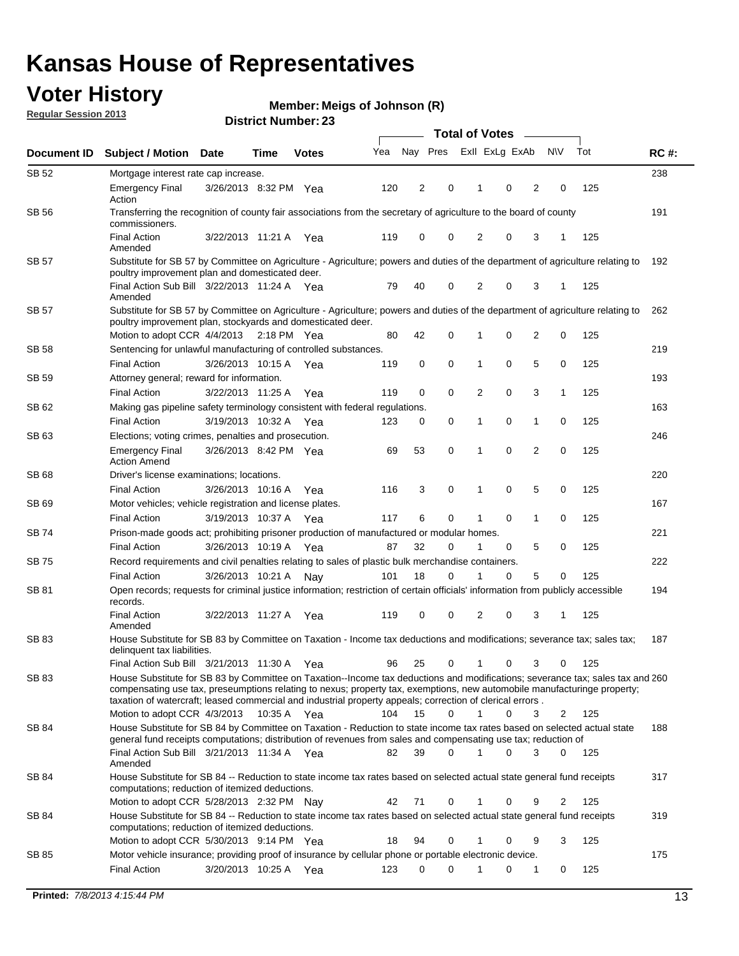## **Voter History**

**Member: Meigs of Johnson (R)** 

**Regular Session 2013**

|              |                                                                                                                                                                                                                                                                                                                                                                         |                       |      |              |     | <b>Total of Votes</b> |          |                |             |                |                |     |             |  |
|--------------|-------------------------------------------------------------------------------------------------------------------------------------------------------------------------------------------------------------------------------------------------------------------------------------------------------------------------------------------------------------------------|-----------------------|------|--------------|-----|-----------------------|----------|----------------|-------------|----------------|----------------|-----|-------------|--|
| Document ID  | <b>Subject / Motion</b>                                                                                                                                                                                                                                                                                                                                                 | <b>Date</b>           | Time | <b>Votes</b> | Yea | Nay Pres              |          | Exll ExLg ExAb |             |                | <b>NV</b>      | Tot | <b>RC#:</b> |  |
| SB 52        | Mortgage interest rate cap increase.                                                                                                                                                                                                                                                                                                                                    |                       |      |              |     |                       |          |                |             |                |                |     | 238         |  |
|              | <b>Emergency Final</b><br>Action                                                                                                                                                                                                                                                                                                                                        | 3/26/2013 8:32 PM Yea |      |              | 120 | 2                     | 0        |                | 0           | 2              | 0              | 125 |             |  |
| <b>SB 56</b> | Transferring the recognition of county fair associations from the secretary of agriculture to the board of county<br>commissioners.                                                                                                                                                                                                                                     |                       |      |              |     |                       |          |                |             |                |                |     | 191         |  |
|              | <b>Final Action</b><br>Amended                                                                                                                                                                                                                                                                                                                                          | 3/22/2013 11:21 A     |      | Yea          | 119 | 0                     | 0        | 2              | 0           | 3              | 1              | 125 |             |  |
| SB 57        | Substitute for SB 57 by Committee on Agriculture - Agriculture; powers and duties of the department of agriculture relating to<br>poultry improvement plan and domesticated deer.                                                                                                                                                                                       |                       |      |              |     |                       |          |                |             |                |                |     | 192         |  |
|              | Final Action Sub Bill 3/22/2013 11:24 A Yea<br>Amended                                                                                                                                                                                                                                                                                                                  |                       |      |              | 79  | 40                    | 0        | 2              | 0           | 3              | -1             | 125 |             |  |
| SB 57        | Substitute for SB 57 by Committee on Agriculture - Agriculture; powers and duties of the department of agriculture relating to<br>poultry improvement plan, stockyards and domesticated deer.<br>Motion to adopt CCR 4/4/2013 2:18 PM Yea                                                                                                                               |                       |      |              | 80  | 42                    | 0        | 1              | 0           | $\overline{2}$ | 0              | 125 | 262         |  |
| SB 58        | Sentencing for unlawful manufacturing of controlled substances.                                                                                                                                                                                                                                                                                                         |                       |      |              |     |                       |          |                |             |                |                |     | 219         |  |
|              | <b>Final Action</b>                                                                                                                                                                                                                                                                                                                                                     | 3/26/2013 10:15 A     |      | Yea          | 119 | 0                     | 0        | 1              | 0           | 5              | 0              | 125 |             |  |
| SB 59        | Attorney general; reward for information.                                                                                                                                                                                                                                                                                                                               |                       |      |              |     |                       |          |                |             |                |                |     | 193         |  |
|              | <b>Final Action</b>                                                                                                                                                                                                                                                                                                                                                     | 3/22/2013 11:25 A     |      | Yea          | 119 | 0                     | 0        | 2              | 0           | 3              | 1              | 125 |             |  |
| SB 62        | Making gas pipeline safety terminology consistent with federal regulations.                                                                                                                                                                                                                                                                                             |                       |      |              |     |                       |          |                |             |                |                |     | 163         |  |
|              | <b>Final Action</b>                                                                                                                                                                                                                                                                                                                                                     | 3/19/2013 10:32 A Yea |      |              | 123 | 0                     | 0        | 1              | 0           | 1              | 0              | 125 |             |  |
| SB 63        | Elections; voting crimes, penalties and prosecution.                                                                                                                                                                                                                                                                                                                    |                       |      |              |     |                       |          |                |             |                |                |     | 246         |  |
|              | <b>Emergency Final</b><br><b>Action Amend</b>                                                                                                                                                                                                                                                                                                                           | 3/26/2013 8:42 PM Yea |      |              | 69  | 53                    | 0        | 1              | $\mathbf 0$ | $\overline{2}$ | $\mathbf 0$    | 125 |             |  |
| <b>SB68</b>  | Driver's license examinations; locations.                                                                                                                                                                                                                                                                                                                               |                       |      |              |     |                       |          |                |             |                |                |     | 220         |  |
|              | <b>Final Action</b>                                                                                                                                                                                                                                                                                                                                                     | 3/26/2013 10:16 A     |      | Yea          | 116 | 3                     | 0        | 1              | 0           | 5              | 0              | 125 |             |  |
| SB 69        | Motor vehicles; vehicle registration and license plates.                                                                                                                                                                                                                                                                                                                |                       |      |              |     |                       |          |                |             |                |                |     | 167         |  |
|              | <b>Final Action</b>                                                                                                                                                                                                                                                                                                                                                     | 3/19/2013 10:37 A     |      | Yea          | 117 | 6                     | 0        | 1              | 0           | $\mathbf{1}$   | 0              | 125 |             |  |
| SB 74        | Prison-made goods act; prohibiting prisoner production of manufactured or modular homes.                                                                                                                                                                                                                                                                                |                       |      |              |     |                       |          |                |             |                |                |     | 221         |  |
|              | <b>Final Action</b>                                                                                                                                                                                                                                                                                                                                                     | 3/26/2013 10:19 A     |      | Yea          | 87  | 32                    | 0        | 1              | 0           | 5              | 0              | 125 |             |  |
| SB 75        | Record requirements and civil penalties relating to sales of plastic bulk merchandise containers.                                                                                                                                                                                                                                                                       |                       |      |              |     |                       |          |                |             |                |                |     | 222         |  |
|              | <b>Final Action</b>                                                                                                                                                                                                                                                                                                                                                     | 3/26/2013 10:21 A     |      | Nav          | 101 | 18                    | 0        | 1              | 0           | 5              | 0              | 125 |             |  |
| SB 81        | Open records; requests for criminal justice information; restriction of certain officials' information from publicly accessible<br>records.                                                                                                                                                                                                                             |                       |      |              |     |                       |          |                |             |                |                |     | 194         |  |
|              | <b>Final Action</b><br>Amended                                                                                                                                                                                                                                                                                                                                          | 3/22/2013 11:27 A     |      | Yea          | 119 | 0                     | 0        | $\overline{2}$ | 0           | 3              | 1              | 125 |             |  |
| <b>SB83</b>  | House Substitute for SB 83 by Committee on Taxation - Income tax deductions and modifications; severance tax; sales tax;<br>delinquent tax liabilities.                                                                                                                                                                                                                 |                       |      |              |     |                       |          |                |             |                |                |     | 187         |  |
|              | Final Action Sub Bill 3/21/2013 11:30 A Yea                                                                                                                                                                                                                                                                                                                             |                       |      |              | 96  | 25                    | 0        | $\mathbf{1}$   | 0           | 3              | 0              | 125 |             |  |
| SB 83        | House Substitute for SB 83 by Committee on Taxation--Income tax deductions and modifications; severance tax; sales tax and 260<br>compensating use tax, preseumptions relating to nexus; property tax, exemptions, new automobile manufacturinge property;<br>taxation of watercraft; leased commercial and industrial property appeals; correction of clerical errors. |                       |      |              |     |                       |          |                |             |                |                |     |             |  |
|              | Motion to adopt CCR 4/3/2013 10:35 A Yea                                                                                                                                                                                                                                                                                                                                |                       |      |              | 104 | 15                    | 0        | $\mathbf{1}$   | 0           | 3              | 2              | 125 |             |  |
| SB 84        | House Substitute for SB 84 by Committee on Taxation - Reduction to state income tax rates based on selected actual state<br>general fund receipts computations; distribution of revenues from sales and compensating use tax; reduction of<br>Final Action Sub Bill 3/21/2013 11:34 A Yea                                                                               |                       |      |              | 82  | 39                    | $\Omega$ |                | $\Omega$    | 3              | $\mathbf{0}$   | 125 | 188         |  |
|              | Amended<br>House Substitute for SB 84 -- Reduction to state income tax rates based on selected actual state general fund receipts                                                                                                                                                                                                                                       |                       |      |              |     |                       |          |                |             |                |                |     |             |  |
| SB 84        | computations; reduction of itemized deductions.<br>Motion to adopt CCR 5/28/2013 2:32 PM Nay                                                                                                                                                                                                                                                                            |                       |      |              | 42  | 71                    | 0        | 1              | 0           | 9              | $\overline{2}$ | 125 | 317         |  |
|              |                                                                                                                                                                                                                                                                                                                                                                         |                       |      |              |     |                       |          |                |             |                |                |     |             |  |
| SB 84        | House Substitute for SB 84 -- Reduction to state income tax rates based on selected actual state general fund receipts<br>computations; reduction of itemized deductions.<br>Motion to adopt CCR 5/30/2013 9:14 PM Yea                                                                                                                                                  |                       |      |              | 18  | 94                    | 0        | 1              | 0           | 9              | 3              | 125 | 319         |  |
| SB 85        | Motor vehicle insurance; providing proof of insurance by cellular phone or portable electronic device.                                                                                                                                                                                                                                                                  |                       |      |              |     |                       |          |                |             |                |                |     | 175         |  |
|              | <b>Final Action</b>                                                                                                                                                                                                                                                                                                                                                     | 3/20/2013 10:25 A Yea |      |              | 123 | 0                     | $\Omega$ |                | 0           | 1              | 0              | 125 |             |  |
|              |                                                                                                                                                                                                                                                                                                                                                                         |                       |      |              |     |                       |          |                |             |                |                |     |             |  |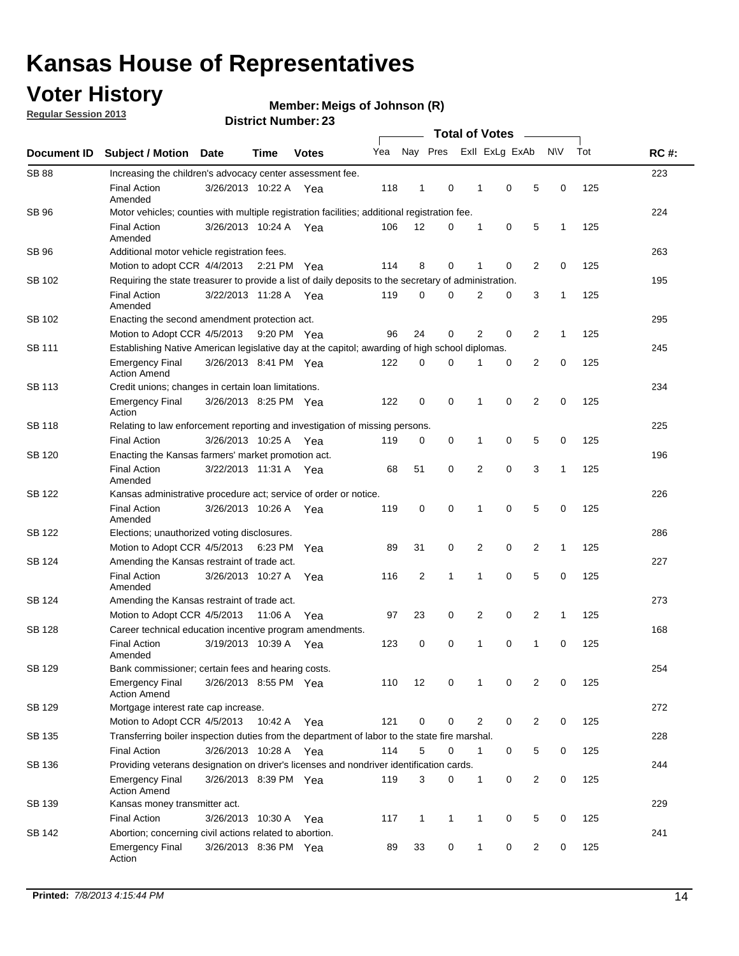## **Voter History**

**Regular Session 2013**

**Member: Meigs of Johnson (R)** 

|               |                                                                                                       |                                                                                              |         |              |     | <b>Total of Votes</b><br>$\frac{1}{2}$ |   |                |             |                |              |     |             |  |
|---------------|-------------------------------------------------------------------------------------------------------|----------------------------------------------------------------------------------------------|---------|--------------|-----|----------------------------------------|---|----------------|-------------|----------------|--------------|-----|-------------|--|
| Document ID   | <b>Subject / Motion</b>                                                                               | <b>Date</b>                                                                                  | Time    | <b>Votes</b> | Yea | Nay Pres                               |   | Exll ExLg ExAb |             |                | N\V          | Tot | <b>RC#:</b> |  |
| <b>SB 88</b>  | Increasing the children's advocacy center assessment fee.                                             |                                                                                              |         |              |     |                                        |   |                |             |                |              |     | 223         |  |
|               | <b>Final Action</b><br>Amended                                                                        | 3/26/2013 10:22 A                                                                            |         | Yea          | 118 | 1                                      | 0 | 1              | 0           | 5              | 0            | 125 |             |  |
| SB 96         |                                                                                                       | Motor vehicles; counties with multiple registration facilities; additional registration fee. |         |              |     |                                        |   |                |             |                |              |     |             |  |
|               | <b>Final Action</b><br>Amended                                                                        | 3/26/2013 10:24 A                                                                            |         | Yea          | 106 | 12                                     | 0 | 1              | 0           | 5              | 1            | 125 |             |  |
| <b>SB 96</b>  | Additional motor vehicle registration fees.                                                           |                                                                                              |         |              |     |                                        |   |                |             |                |              |     | 263         |  |
|               | Motion to adopt CCR 4/4/2013 2:21 PM Yea                                                              |                                                                                              |         |              | 114 | 8                                      | 0 | 1              | 0           | $\overline{2}$ | 0            | 125 |             |  |
| SB 102        | Requiring the state treasurer to provide a list of daily deposits to the secretary of administration. |                                                                                              |         |              |     |                                        |   |                |             |                |              |     | 195         |  |
|               | <b>Final Action</b><br>Amended                                                                        | 3/22/2013 11:28 A Yea                                                                        |         |              | 119 | 0                                      | 0 | 2              | 0           | 3              | 1            | 125 |             |  |
| SB 102        |                                                                                                       | 295<br>Enacting the second amendment protection act.                                         |         |              |     |                                        |   |                |             |                |              |     |             |  |
|               | Motion to Adopt CCR 4/5/2013                                                                          |                                                                                              |         | 9:20 PM Yea  | 96  | 24                                     | 0 | 2              | 0           | 2              | $\mathbf{1}$ | 125 |             |  |
| SB 111        | Establishing Native American legislative day at the capitol; awarding of high school diplomas.        |                                                                                              |         |              |     |                                        |   |                |             |                |              |     |             |  |
|               | <b>Emergency Final</b><br><b>Action Amend</b>                                                         | 3/26/2013 8:41 PM Yea                                                                        |         |              | 122 | 0                                      | 0 |                | 0           | 2              | 0            | 125 |             |  |
| <b>SB 113</b> | Credit unions; changes in certain loan limitations.                                                   |                                                                                              |         |              |     |                                        |   |                |             |                |              |     | 234         |  |
|               | <b>Emergency Final</b><br>Action                                                                      | 3/26/2013 8:25 PM Yea                                                                        |         |              | 122 | 0                                      | 0 | 1              | 0           | 2              | 0            | 125 |             |  |
| <b>SB 118</b> | Relating to law enforcement reporting and investigation of missing persons.                           |                                                                                              |         |              |     |                                        |   |                |             |                |              |     | 225         |  |
|               | <b>Final Action</b>                                                                                   | 3/26/2013 10:25 A                                                                            |         | Yea          | 119 | 0                                      | 0 | 1              | 0           | 5              | 0            | 125 |             |  |
| SB 120        | Enacting the Kansas farmers' market promotion act.                                                    |                                                                                              |         |              |     |                                        |   |                |             |                |              |     | 196         |  |
|               | <b>Final Action</b><br>Amended                                                                        | 3/22/2013 11:31 A Yea                                                                        |         |              | 68  | 51                                     | 0 | 2              | 0           | 3              | $\mathbf{1}$ | 125 |             |  |
| SB 122        | Kansas administrative procedure act; service of order or notice.                                      |                                                                                              |         |              |     |                                        |   |                |             |                |              |     | 226         |  |
|               | <b>Final Action</b><br>Amended                                                                        | 3/26/2013 10:26 A                                                                            |         | Yea          | 119 | 0                                      | 0 | 1              | 0           | 5              | 0            | 125 |             |  |
| <b>SB 122</b> |                                                                                                       | Elections; unauthorized voting disclosures.                                                  |         |              |     |                                        |   |                |             |                |              |     |             |  |
|               | Motion to Adopt CCR 4/5/2013 6:23 PM                                                                  |                                                                                              |         | Yea          | 89  | 31                                     | 0 | 2              | 0           | 2              | 1            | 125 |             |  |
| SB 124        | Amending the Kansas restraint of trade act.                                                           |                                                                                              |         |              |     |                                        |   |                |             |                |              |     | 227         |  |
|               | <b>Final Action</b><br>Amended                                                                        | 3/26/2013 10:27 A                                                                            |         | Yea          | 116 | 2                                      | 1 | 1              | 0           | 5              | 0            | 125 |             |  |
| SB 124        | Amending the Kansas restraint of trade act.                                                           |                                                                                              |         |              |     |                                        |   |                |             |                |              |     | 273         |  |
|               | Motion to Adopt CCR 4/5/2013                                                                          |                                                                                              | 11:06 A | Yea          | 97  | 23                                     | 0 | 2              | 0           | 2              | $\mathbf{1}$ | 125 |             |  |
| SB 128        | Career technical education incentive program amendments.                                              |                                                                                              |         |              |     |                                        |   |                |             |                |              |     | 168         |  |
|               | <b>Final Action</b><br>Amended                                                                        | 3/19/2013 10:39 A                                                                            |         | Yea          | 123 | 0                                      | 0 | 1              | 0           | 1              | 0            | 125 |             |  |
| SB 129        | Bank commissioner; certain fees and hearing costs.                                                    |                                                                                              |         |              |     |                                        |   |                |             |                |              |     | 254         |  |
|               | <b>Emergency Final</b><br><b>Action Amend</b>                                                         | 3/26/2013 8:55 PM Yea                                                                        |         |              | 110 | 12                                     | 0 |                | 0           | 2              | 0            | 125 |             |  |
| SB 129        | Mortgage interest rate cap increase.                                                                  |                                                                                              |         |              |     |                                        |   |                |             |                |              |     | 272         |  |
|               | Motion to Adopt CCR 4/5/2013 10:42 A                                                                  |                                                                                              |         | Yea          | 121 | 0                                      | 0 | 2              | $\mathbf 0$ | 2              | 0            | 125 |             |  |
| SB 135        | Transferring boiler inspection duties from the department of labor to the state fire marshal.         |                                                                                              |         |              |     |                                        |   |                |             |                |              |     | 228         |  |
|               | <b>Final Action</b>                                                                                   | 3/26/2013 10:28 A Yea                                                                        |         |              | 114 | 5                                      | 0 | 1              | 0           | 5              | 0            | 125 |             |  |
| SB 136        | Providing veterans designation on driver's licenses and nondriver identification cards.               |                                                                                              |         |              |     |                                        |   |                |             |                |              |     | 244         |  |
|               | <b>Emergency Final</b><br><b>Action Amend</b>                                                         | 3/26/2013 8:39 PM Yea                                                                        |         |              | 119 | 3                                      | 0 | $\mathbf{1}$   | 0           | $\overline{2}$ | 0            | 125 |             |  |
| SB 139        | Kansas money transmitter act.                                                                         |                                                                                              |         |              |     |                                        |   |                |             |                |              |     | 229         |  |
|               | <b>Final Action</b>                                                                                   | 3/26/2013 10:30 A                                                                            |         | Yea          | 117 | $\mathbf{1}$                           | 1 | 1              | 0           | 5              | 0            | 125 |             |  |
| SB 142        | Abortion; concerning civil actions related to abortion.                                               |                                                                                              |         |              |     |                                        |   |                |             |                |              |     | 241         |  |
|               | <b>Emergency Final</b><br>Action                                                                      | 3/26/2013 8:36 PM Yea                                                                        |         |              | 89  | 33                                     | 0 | 1              | 0           | 2              | 0            | 125 |             |  |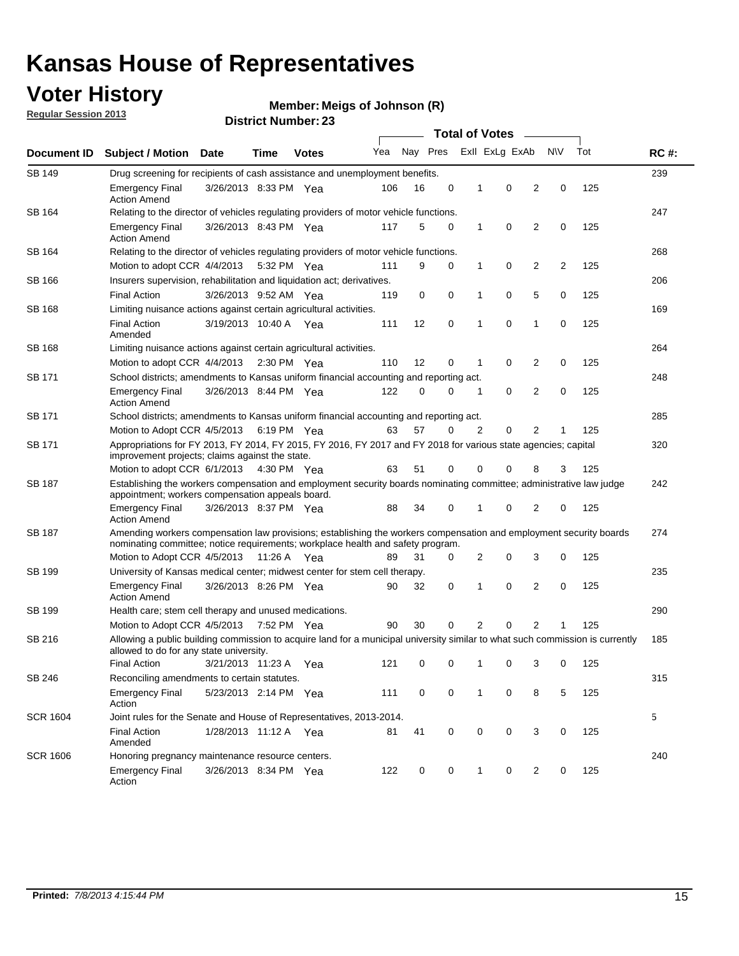## **Voter History**

**Member: Meigs of Johnson (R)** 

**Regular Session 2013**

| Document ID     |                                                                                                                                                                                                       |                                                                                                 |             |                       | <b>Total of Votes</b><br>$\sim$ |          |          |                |                |                |           |     |             |  |
|-----------------|-------------------------------------------------------------------------------------------------------------------------------------------------------------------------------------------------------|-------------------------------------------------------------------------------------------------|-------------|-----------------------|---------------------------------|----------|----------|----------------|----------------|----------------|-----------|-----|-------------|--|
|                 | <b>Subject / Motion Date</b>                                                                                                                                                                          |                                                                                                 | Time        | <b>Votes</b>          | Yea                             | Nay Pres |          |                | Exll ExLg ExAb |                | <b>NV</b> | Tot | <b>RC#:</b> |  |
| <b>SB 149</b>   |                                                                                                                                                                                                       | 239<br>Drug screening for recipients of cash assistance and unemployment benefits.              |             |                       |                                 |          |          |                |                |                |           |     |             |  |
|                 | <b>Emergency Final</b><br><b>Action Amend</b>                                                                                                                                                         | 3/26/2013 8:33 PM Yea                                                                           |             |                       | 106                             | 16       | 0        | 1              | 0              | 2              | 0         | 125 |             |  |
| SB 164          | Relating to the director of vehicles regulating providers of motor vehicle functions.                                                                                                                 |                                                                                                 |             |                       |                                 |          |          |                |                |                |           |     | 247         |  |
|                 | <b>Emergency Final</b><br><b>Action Amend</b>                                                                                                                                                         | 3/26/2013 8:43 PM Yea                                                                           |             |                       | 117                             | 5        | 0        | 1              | 0              | 2              | 0         | 125 |             |  |
| SB 164          | Relating to the director of vehicles regulating providers of motor vehicle functions.                                                                                                                 |                                                                                                 |             |                       |                                 |          |          |                |                |                |           |     | 268         |  |
|                 |                                                                                                                                                                                                       | 0<br>Motion to adopt CCR 4/4/2013 5:32 PM Yea<br>9<br>0<br>$\mathbf{1}$<br>2<br>2<br>125<br>111 |             |                       |                                 |          |          |                |                |                |           |     |             |  |
| SB 166          | Insurers supervision, rehabilitation and liquidation act; derivatives.                                                                                                                                |                                                                                                 |             |                       |                                 |          |          |                |                |                |           |     | 206         |  |
|                 | <b>Final Action</b>                                                                                                                                                                                   | 3/26/2013 9:52 AM Yea                                                                           |             |                       | 119                             | 0        | 0        | 1              | 0              | 5              | 0         | 125 |             |  |
| SB 168          | Limiting nuisance actions against certain agricultural activities.                                                                                                                                    |                                                                                                 |             |                       |                                 |          |          |                |                |                |           |     | 169         |  |
|                 | <b>Final Action</b><br>Amended                                                                                                                                                                        | 3/19/2013 10:40 A Yea                                                                           |             |                       | 111                             | 12       | 0        | 1              | 0              | 1              | 0         | 125 |             |  |
| SB 168          | Limiting nuisance actions against certain agricultural activities.                                                                                                                                    |                                                                                                 |             |                       |                                 |          |          |                |                |                |           |     | 264         |  |
|                 | Motion to adopt CCR 4/4/2013                                                                                                                                                                          |                                                                                                 |             | $2:30 \text{ PM}$ Yea | 110                             | 12       | 0        | 1              | 0              | 2              | 0         | 125 |             |  |
| SB 171          | School districts; amendments to Kansas uniform financial accounting and reporting act.                                                                                                                |                                                                                                 |             |                       |                                 |          |          |                |                |                |           |     | 248         |  |
|                 | <b>Emergency Final</b><br><b>Action Amend</b>                                                                                                                                                         | 3/26/2013 8:44 PM Yea                                                                           |             |                       | 122                             | 0        | 0        | 1              | 0              | 2              | 0         | 125 |             |  |
| SB 171          | School districts; amendments to Kansas uniform financial accounting and reporting act.                                                                                                                |                                                                                                 |             |                       |                                 |          |          |                |                |                |           |     | 285         |  |
|                 | Motion to Adopt CCR 4/5/2013 6:19 PM Yea                                                                                                                                                              |                                                                                                 |             |                       | 63                              | 57       | $\Omega$ | $\overline{2}$ | 0              | $\overline{2}$ | 1         | 125 |             |  |
| SB 171          | Appropriations for FY 2013, FY 2014, FY 2015, FY 2016, FY 2017 and FY 2018 for various state agencies; capital<br>improvement projects; claims against the state.                                     |                                                                                                 |             |                       |                                 |          |          |                |                |                |           |     | 320         |  |
|                 | Motion to adopt CCR 6/1/2013 4:30 PM Yea                                                                                                                                                              |                                                                                                 |             |                       | 63                              | 51       | 0        | 0              | 0              | 8              | 3         | 125 |             |  |
| SB 187          | Establishing the workers compensation and employment security boards nominating committee; administrative law judge<br>appointment; workers compensation appeals board.                               |                                                                                                 |             |                       |                                 |          |          |                |                |                |           | 242 |             |  |
|                 | <b>Emergency Final</b><br><b>Action Amend</b>                                                                                                                                                         | 3/26/2013 8:37 PM Yea                                                                           |             |                       | 88                              | 34       | 0        |                | 0              | 2              | 0         | 125 |             |  |
| SB 187          | Amending workers compensation law provisions; establishing the workers compensation and employment security boards<br>nominating committee; notice requirements; workplace health and safety program. |                                                                                                 |             |                       |                                 |          |          |                |                |                |           |     | 274         |  |
|                 | Motion to Adopt CCR 4/5/2013 11:26 A Yea                                                                                                                                                              |                                                                                                 |             |                       | 89                              | 31       | 0        | 2              | 0              | 3              | 0         | 125 |             |  |
| SB 199          | University of Kansas medical center; midwest center for stem cell therapy.                                                                                                                            |                                                                                                 |             |                       |                                 |          |          |                |                |                |           |     | 235         |  |
|                 | Emergency Final<br><b>Action Amend</b>                                                                                                                                                                | 3/26/2013 8:26 PM Yea                                                                           |             |                       | 90                              | 32       | 0        | 1              | 0              | 2              | 0         | 125 |             |  |
| SB 199          | Health care; stem cell therapy and unused medications.                                                                                                                                                |                                                                                                 |             |                       |                                 |          |          |                |                |                |           |     | 290         |  |
|                 | Motion to Adopt CCR 4/5/2013                                                                                                                                                                          |                                                                                                 | 7:52 PM Yea |                       | 90                              | 30       | 0        | 2              | 0              | 2              | 1         | 125 |             |  |
| SB 216          | Allowing a public building commission to acquire land for a municipal university similar to what such commission is currently<br>allowed to do for any state university.                              |                                                                                                 |             |                       |                                 |          |          |                |                |                |           |     | 185         |  |
|                 | <b>Final Action</b>                                                                                                                                                                                   | 3/21/2013 11:23 A                                                                               |             | Yea                   | 121                             | 0        | 0        | 1              | 0              | 3              | 0         | 125 |             |  |
| SB 246          | Reconciling amendments to certain statutes.                                                                                                                                                           |                                                                                                 |             |                       |                                 |          |          |                |                |                |           |     | 315         |  |
|                 | <b>Emergency Final</b><br>Action                                                                                                                                                                      | 5/23/2013 2:14 PM Yea                                                                           |             |                       | 111                             | 0        | 0        | $\mathbf 1$    | 0              | 8              | 5         | 125 |             |  |
| <b>SCR 1604</b> | Joint rules for the Senate and House of Representatives, 2013-2014.                                                                                                                                   |                                                                                                 |             |                       |                                 |          |          |                |                |                |           |     | 5           |  |
|                 | <b>Final Action</b><br>Amended                                                                                                                                                                        | 1/28/2013 11:12 A Yea                                                                           |             |                       | 81                              | 41       | 0        | 0              | 0              | 3              | 0         | 125 |             |  |
| <b>SCR 1606</b> | Honoring pregnancy maintenance resource centers.                                                                                                                                                      |                                                                                                 |             |                       |                                 |          |          |                |                |                |           |     | 240         |  |
|                 | <b>Emergency Final</b><br>Action                                                                                                                                                                      | 3/26/2013 8:34 PM Yea                                                                           |             |                       | 122                             | 0        | 0        | 1              | 0              | 2              | 0         | 125 |             |  |